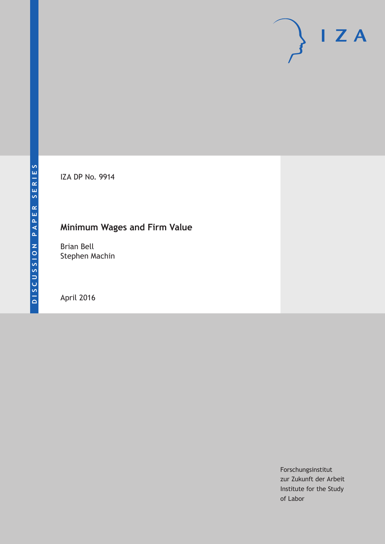IZA DP No. 9914

# **Minimum Wages and Firm Value**

Brian Bell Stephen Machin

April 2016

Forschungsinstitut zur Zukunft der Arbeit Institute for the Study of Labor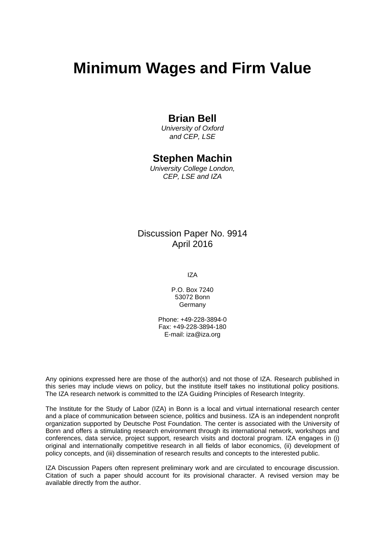# **Minimum Wages and Firm Value**

## **Brian Bell**

*University of Oxford and CEP, LSE* 

### **Stephen Machin**

*University College London, CEP, LSE and IZA* 

## Discussion Paper No. 9914 April 2016

IZA

P.O. Box 7240 53072 Bonn Germany

Phone: +49-228-3894-0 Fax: +49-228-3894-180 E-mail: iza@iza.org

Any opinions expressed here are those of the author(s) and not those of IZA. Research published in this series may include views on policy, but the institute itself takes no institutional policy positions. The IZA research network is committed to the IZA Guiding Principles of Research Integrity.

The Institute for the Study of Labor (IZA) in Bonn is a local and virtual international research center and a place of communication between science, politics and business. IZA is an independent nonprofit organization supported by Deutsche Post Foundation. The center is associated with the University of Bonn and offers a stimulating research environment through its international network, workshops and conferences, data service, project support, research visits and doctoral program. IZA engages in (i) original and internationally competitive research in all fields of labor economics, (ii) development of policy concepts, and (iii) dissemination of research results and concepts to the interested public.

IZA Discussion Papers often represent preliminary work and are circulated to encourage discussion. Citation of such a paper should account for its provisional character. A revised version may be available directly from the author.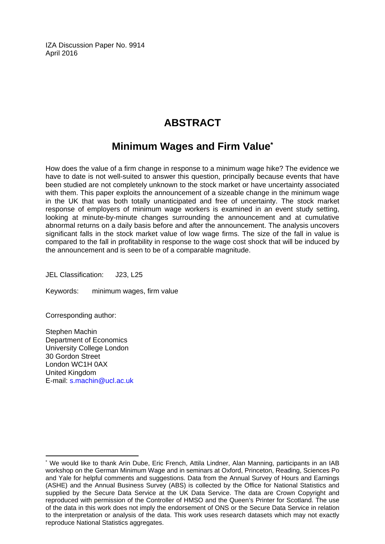IZA Discussion Paper No. 9914 April 2016

# **ABSTRACT**

## **Minimum Wages and Firm Value\***

How does the value of a firm change in response to a minimum wage hike? The evidence we have to date is not well-suited to answer this question, principally because events that have been studied are not completely unknown to the stock market or have uncertainty associated with them. This paper exploits the announcement of a sizeable change in the minimum wage in the UK that was both totally unanticipated and free of uncertainty. The stock market response of employers of minimum wage workers is examined in an event study setting, looking at minute-by-minute changes surrounding the announcement and at cumulative abnormal returns on a daily basis before and after the announcement. The analysis uncovers significant falls in the stock market value of low wage firms. The size of the fall in value is compared to the fall in profitability in response to the wage cost shock that will be induced by the announcement and is seen to be of a comparable magnitude.

JEL Classification: J23, L25

Keywords: minimum wages, firm value

Corresponding author:

Stephen Machin Department of Economics University College London 30 Gordon Street London WC1H 0AX United Kingdom E-mail: s.machin@ucl.ac.uk

 $\overline{a}$ \* We would like to thank Arin Dube, Eric French, Attila Lindner, Alan Manning, participants in an IAB workshop on the German Minimum Wage and in seminars at Oxford, Princeton, Reading, Sciences Po and Yale for helpful comments and suggestions. Data from the Annual Survey of Hours and Earnings (ASHE) and the Annual Business Survey (ABS) is collected by the Office for National Statistics and supplied by the Secure Data Service at the UK Data Service. The data are Crown Copyright and reproduced with permission of the Controller of HMSO and the Queen's Printer for Scotland. The use of the data in this work does not imply the endorsement of ONS or the Secure Data Service in relation to the interpretation or analysis of the data. This work uses research datasets which may not exactly reproduce National Statistics aggregates.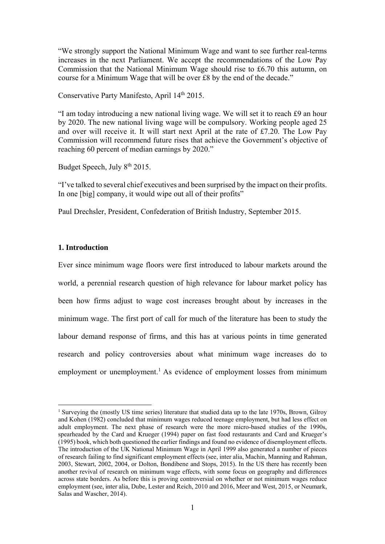"We strongly support the National Minimum Wage and want to see further real-terms increases in the next Parliament. We accept the recommendations of the Low Pay Commission that the National Minimum Wage should rise to £6.70 this autumn, on course for a Minimum Wage that will be over £8 by the end of the decade."

Conservative Party Manifesto, April 14th 2015.

"I am today introducing a new national living wage. We will set it to reach £9 an hour by 2020. The new national living wage will be compulsory. Working people aged 25 and over will receive it. It will start next April at the rate of £7.20. The Low Pay Commission will recommend future rises that achieve the Government's objective of reaching 60 percent of median earnings by 2020."

Budget Speech, July 8th 2015.

 

"I've talked to several chief executives and been surprised by the impact on their profits. In one [big] company, it would wipe out all of their profits"

Paul Drechsler, President, Confederation of British Industry, September 2015.

#### **1. Introduction**

Ever since minimum wage floors were first introduced to labour markets around the world, a perennial research question of high relevance for labour market policy has been how firms adjust to wage cost increases brought about by increases in the minimum wage. The first port of call for much of the literature has been to study the labour demand response of firms, and this has at various points in time generated research and policy controversies about what minimum wage increases do to employment or unemployment.<sup>1</sup> As evidence of employment losses from minimum

<sup>&</sup>lt;sup>1</sup> Surveying the (mostly US time series) literature that studied data up to the late 1970s, Brown, Gilroy and Kohen (1982) concluded that minimum wages reduced teenage employment, but had less effect on adult employment. The next phase of research were the more micro-based studies of the 1990s, spearheaded by the Card and Krueger (1994) paper on fast food restaurants and Card and Krueger's (1995) book, which both questioned the earlier findings and found no evidence of disemployment effects. The introduction of the UK National Minimum Wage in April 1999 also generated a number of pieces of research failing to find significant employment effects (see, inter alia, Machin, Manning and Rahman, 2003, Stewart, 2002, 2004, or Dolton, Bondibene and Stops, 2015). In the US there has recently been another revival of research on minimum wage effects, with some focus on geography and differences across state borders. As before this is proving controversial on whether or not minimum wages reduce employment (see, inter alia, Dube, Lester and Reich, 2010 and 2016, Meer and West, 2015, or Neumark, Salas and Wascher, 2014).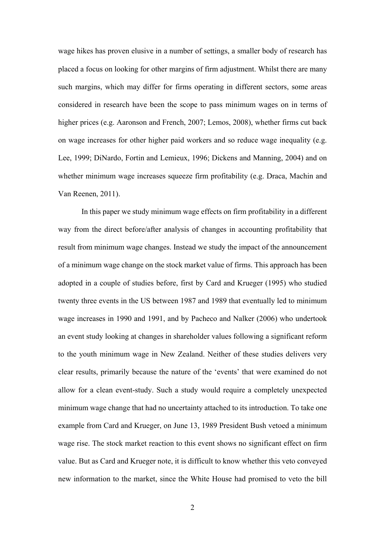wage hikes has proven elusive in a number of settings, a smaller body of research has placed a focus on looking for other margins of firm adjustment. Whilst there are many such margins, which may differ for firms operating in different sectors, some areas considered in research have been the scope to pass minimum wages on in terms of higher prices (e.g. Aaronson and French, 2007; Lemos, 2008), whether firms cut back on wage increases for other higher paid workers and so reduce wage inequality (e.g. Lee, 1999; DiNardo, Fortin and Lemieux, 1996; Dickens and Manning, 2004) and on whether minimum wage increases squeeze firm profitability (e.g. Draca, Machin and Van Reenen, 2011).

 In this paper we study minimum wage effects on firm profitability in a different way from the direct before/after analysis of changes in accounting profitability that result from minimum wage changes. Instead we study the impact of the announcement of a minimum wage change on the stock market value of firms. This approach has been adopted in a couple of studies before, first by Card and Krueger (1995) who studied twenty three events in the US between 1987 and 1989 that eventually led to minimum wage increases in 1990 and 1991, and by Pacheco and Nalker (2006) who undertook an event study looking at changes in shareholder values following a significant reform to the youth minimum wage in New Zealand. Neither of these studies delivers very clear results, primarily because the nature of the 'events' that were examined do not allow for a clean event-study. Such a study would require a completely unexpected minimum wage change that had no uncertainty attached to its introduction. To take one example from Card and Krueger, on June 13, 1989 President Bush vetoed a minimum wage rise. The stock market reaction to this event shows no significant effect on firm value. But as Card and Krueger note, it is difficult to know whether this veto conveyed new information to the market, since the White House had promised to veto the bill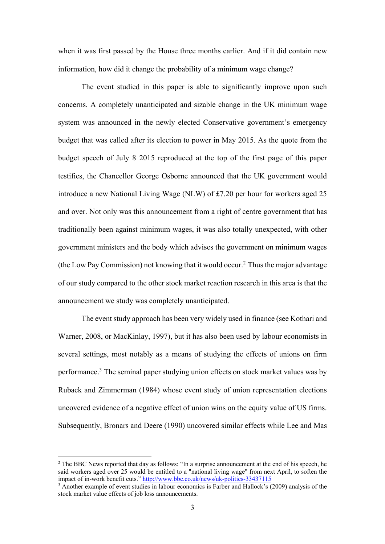when it was first passed by the House three months earlier. And if it did contain new information, how did it change the probability of a minimum wage change?

The event studied in this paper is able to significantly improve upon such concerns. A completely unanticipated and sizable change in the UK minimum wage system was announced in the newly elected Conservative government's emergency budget that was called after its election to power in May 2015. As the quote from the budget speech of July 8 2015 reproduced at the top of the first page of this paper testifies, the Chancellor George Osborne announced that the UK government would introduce a new National Living Wage (NLW) of £7.20 per hour for workers aged 25 and over. Not only was this announcement from a right of centre government that has traditionally been against minimum wages, it was also totally unexpected, with other government ministers and the body which advises the government on minimum wages (the Low Pay Commission) not knowing that it would occur.<sup>2</sup> Thus the major advantage of our study compared to the other stock market reaction research in this area is that the announcement we study was completely unanticipated.

 The event study approach has been very widely used in finance (see Kothari and Warner, 2008, or MacKinlay, 1997), but it has also been used by labour economists in several settings, most notably as a means of studying the effects of unions on firm performance.<sup>3</sup> The seminal paper studying union effects on stock market values was by Ruback and Zimmerman (1984) whose event study of union representation elections uncovered evidence of a negative effect of union wins on the equity value of US firms. Subsequently, Bronars and Deere (1990) uncovered similar effects while Lee and Mas

<sup>&</sup>lt;sup>2</sup> The BBC News reported that day as follows: "In a surprise announcement at the end of his speech, he said workers aged over 25 would be entitled to a "national living wage" from next April, to soften the impact of in-work benefit cuts." http://www.bbc.co.uk/news/uk-politics-33437115

<sup>&</sup>lt;sup>3</sup> Another example of event studies in labour economics is Farber and Hallock's (2009) analysis of the stock market value effects of job loss announcements.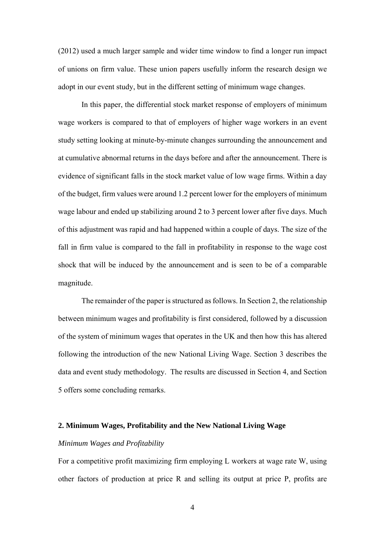(2012) used a much larger sample and wider time window to find a longer run impact of unions on firm value. These union papers usefully inform the research design we adopt in our event study, but in the different setting of minimum wage changes.

 In this paper, the differential stock market response of employers of minimum wage workers is compared to that of employers of higher wage workers in an event study setting looking at minute-by-minute changes surrounding the announcement and at cumulative abnormal returns in the days before and after the announcement. There is evidence of significant falls in the stock market value of low wage firms. Within a day of the budget, firm values were around 1.2 percent lower for the employers of minimum wage labour and ended up stabilizing around 2 to 3 percent lower after five days. Much of this adjustment was rapid and had happened within a couple of days. The size of the fall in firm value is compared to the fall in profitability in response to the wage cost shock that will be induced by the announcement and is seen to be of a comparable magnitude.

 The remainder of the paper is structured as follows. In Section 2, the relationship between minimum wages and profitability is first considered, followed by a discussion of the system of minimum wages that operates in the UK and then how this has altered following the introduction of the new National Living Wage. Section 3 describes the data and event study methodology. The results are discussed in Section 4, and Section 5 offers some concluding remarks.

#### **2. Minimum Wages, Profitability and the New National Living Wage**

#### *Minimum Wages and Profitability*

For a competitive profit maximizing firm employing L workers at wage rate W, using other factors of production at price R and selling its output at price P, profits are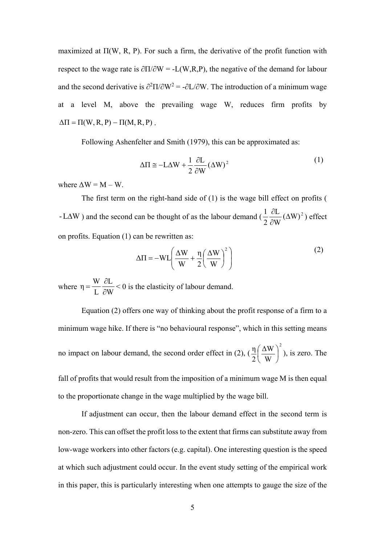maximized at  $\Pi(W, R, P)$ . For such a firm, the derivative of the profit function with respect to the wage rate is  $\partial \Pi / \partial W = -L(W, R, P)$ , the negative of the demand for labour and the second derivative is  $\partial^2 \Pi / \partial W^2 = -\partial L / \partial W$ . The introduction of a minimum wage at a level M, above the prevailing wage W, reduces firm profits by  $\Delta \Pi = \Pi(W, R, P) - \Pi(M, R, P)$ .

Following Ashenfelter and Smith (1979), this can be approximated as:

$$
\Delta \Pi \cong -L\Delta W + \frac{1}{2} \frac{\partial L}{\partial W} (\Delta W)^2
$$
 (1)

where  $\Delta W = M - W$ .

The first term on the right-hand side of (1) is the wage bill effect on profits ( -L $\Delta W$ ) and the second can be thought of as the labour demand  $(\frac{1}{2} \frac{\partial L}{\partial W} (\Delta W)^2)$  effect on profits. Equation (1) can be rewritten as: 2  $\frac{1}{2} \frac{\partial L}{\partial x} (\Delta$  $\partial$  $\partial$ 

$$
\Delta \Pi = -WL \left( \frac{\Delta W}{W} + \frac{\eta}{2} \left( \frac{\Delta W}{W} \right)^2 \right)
$$
 (2)

where  $\eta = \frac{W}{I} \frac{\partial E}{\partial M} < 0$  is the elasticity of labour demand. W L L  $\eta = \frac{W}{L} \frac{\partial}{\partial v}$ 

 Equation (2) offers one way of thinking about the profit response of a firm to a minimum wage hike. If there is "no behavioural response", which in this setting means no impact on labour demand, the second order effect in (2),  $\left(\frac{1}{2}\right) \frac{\Delta W}{\Delta x}$ , is zero. The 2 W ΔW 2  $\frac{\eta}{2} \left( \frac{\Delta W}{W} \right)$ J  $\left(\frac{\Delta W}{W}\right)$  $\setminus$ ſ

fall of profits that would result from the imposition of a minimum wage M is then equal to the proportionate change in the wage multiplied by the wage bill.

If adjustment can occur, then the labour demand effect in the second term is non-zero. This can offset the profit loss to the extent that firms can substitute away from low-wage workers into other factors (e.g. capital). One interesting question is the speed at which such adjustment could occur. In the event study setting of the empirical work in this paper, this is particularly interesting when one attempts to gauge the size of the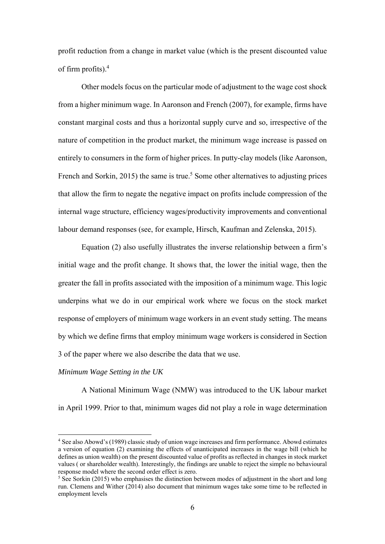profit reduction from a change in market value (which is the present discounted value of firm profits).4

Other models focus on the particular mode of adjustment to the wage cost shock from a higher minimum wage. In Aaronson and French (2007), for example, firms have constant marginal costs and thus a horizontal supply curve and so, irrespective of the nature of competition in the product market, the minimum wage increase is passed on entirely to consumers in the form of higher prices. In putty-clay models (like Aaronson, French and Sorkin, 2015) the same is true.<sup>5</sup> Some other alternatives to adjusting prices that allow the firm to negate the negative impact on profits include compression of the internal wage structure, efficiency wages/productivity improvements and conventional labour demand responses (see, for example, Hirsch, Kaufman and Zelenska, 2015).

Equation (2) also usefully illustrates the inverse relationship between a firm's initial wage and the profit change. It shows that, the lower the initial wage, then the greater the fall in profits associated with the imposition of a minimum wage. This logic underpins what we do in our empirical work where we focus on the stock market response of employers of minimum wage workers in an event study setting. The means by which we define firms that employ minimum wage workers is considered in Section 3 of the paper where we also describe the data that we use.

#### *Minimum Wage Setting in the UK*

 

 A National Minimum Wage (NMW) was introduced to the UK labour market in April 1999. Prior to that, minimum wages did not play a role in wage determination

<sup>4</sup> See also Abowd's (1989) classic study of union wage increases and firm performance. Abowd estimates a version of equation (2) examining the effects of unanticipated increases in the wage bill (which he defines as union wealth) on the present discounted value of profits as reflected in changes in stock market values ( or shareholder wealth). Interestingly, the findings are unable to reject the simple no behavioural response model where the second order effect is zero.

<sup>&</sup>lt;sup>5</sup> See Sorkin (2015) who emphasises the distinction between modes of adjustment in the short and long run. Clemens and Wither (2014) also document that minimum wages take some time to be reflected in employment levels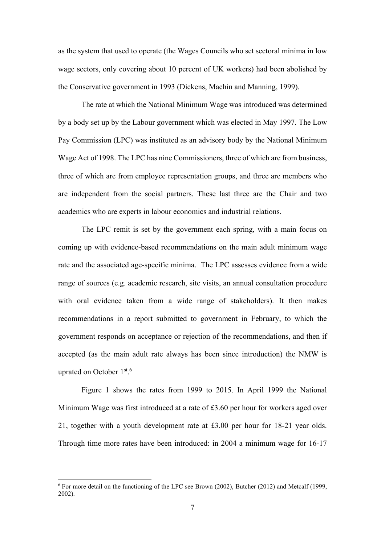as the system that used to operate (the Wages Councils who set sectoral minima in low wage sectors, only covering about 10 percent of UK workers) had been abolished by the Conservative government in 1993 (Dickens, Machin and Manning, 1999).

 The rate at which the National Minimum Wage was introduced was determined by a body set up by the Labour government which was elected in May 1997. The Low Pay Commission (LPC) was instituted as an advisory body by the National Minimum Wage Act of 1998. The LPC has nine Commissioners, three of which are from business, three of which are from employee representation groups, and three are members who are independent from the social partners. These last three are the Chair and two academics who are experts in labour economics and industrial relations.

The LPC remit is set by the government each spring, with a main focus on coming up with evidence-based recommendations on the main adult minimum wage rate and the associated age-specific minima. The LPC assesses evidence from a wide range of sources (e.g. academic research, site visits, an annual consultation procedure with oral evidence taken from a wide range of stakeholders). It then makes recommendations in a report submitted to government in February, to which the government responds on acceptance or rejection of the recommendations, and then if accepted (as the main adult rate always has been since introduction) the NMW is uprated on October 1st.<sup>6</sup>

 Figure 1 shows the rates from 1999 to 2015. In April 1999 the National Minimum Wage was first introduced at a rate of £3.60 per hour for workers aged over 21, together with a youth development rate at £3.00 per hour for 18-21 year olds. Through time more rates have been introduced: in 2004 a minimum wage for 16-17

<sup>&</sup>lt;sup>6</sup> For more detail on the functioning of the LPC see Brown (2002), Butcher (2012) and Metcalf (1999, 2002).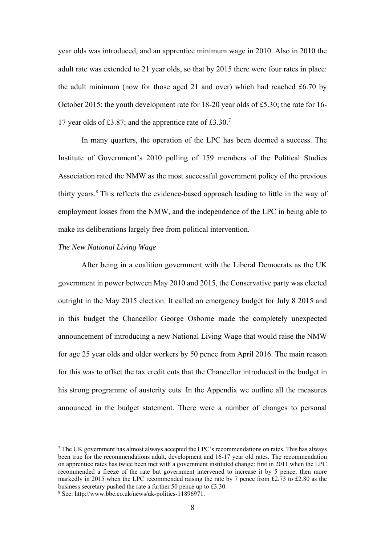year olds was introduced, and an apprentice minimum wage in 2010. Also in 2010 the adult rate was extended to 21 year olds, so that by 2015 there were four rates in place: the adult minimum (now for those aged 21 and over) which had reached £6.70 by October 2015; the youth development rate for 18-20 year olds of £5.30; the rate for 16- 17 year olds of £3.87; and the apprentice rate of £3.30.7

In many quarters, the operation of the LPC has been deemed a success. The Institute of Government's 2010 polling of 159 members of the Political Studies Association rated the NMW as the most successful government policy of the previous thirty years.<sup>8</sup> This reflects the evidence-based approach leading to little in the way of employment losses from the NMW, and the independence of the LPC in being able to make its deliberations largely free from political intervention.

#### *The New National Living Wage*

After being in a coalition government with the Liberal Democrats as the UK government in power between May 2010 and 2015, the Conservative party was elected outright in the May 2015 election. It called an emergency budget for July 8 2015 and in this budget the Chancellor George Osborne made the completely unexpected announcement of introducing a new National Living Wage that would raise the NMW for age 25 year olds and older workers by 50 pence from April 2016. The main reason for this was to offset the tax credit cuts that the Chancellor introduced in the budget in his strong programme of austerity cuts. In the Appendix we outline all the measures announced in the budget statement. There were a number of changes to personal

 $<sup>7</sup>$  The UK government has almost always accepted the LPC's recommendations on rates. This has always</sup> been true for the recommendations adult, development and 16-17 year old rates. The recommendation on apprentice rates has twice been met with a government instituted change: first in 2011 when the LPC recommended a freeze of the rate but government intervened to increase it by 5 pence; then more markedly in 2015 when the LPC recommended raising the rate by 7 pence from  $\text{\pounds}2.73$  to  $\text{\pounds}2.80$  as the business secretary pushed the rate a further 50 pence up to £3.30. 8

See: http://www.bbc.co.uk/news/uk-politics-11896971.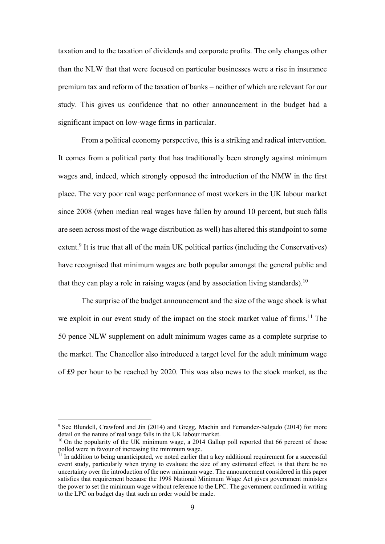taxation and to the taxation of dividends and corporate profits. The only changes other than the NLW that that were focused on particular businesses were a rise in insurance premium tax and reform of the taxation of banks – neither of which are relevant for our study. This gives us confidence that no other announcement in the budget had a significant impact on low-wage firms in particular.

 From a political economy perspective, this is a striking and radical intervention. It comes from a political party that has traditionally been strongly against minimum wages and, indeed, which strongly opposed the introduction of the NMW in the first place. The very poor real wage performance of most workers in the UK labour market since 2008 (when median real wages have fallen by around 10 percent, but such falls are seen across most of the wage distribution as well) has altered this standpoint to some extent.<sup>9</sup> It is true that all of the main UK political parties (including the Conservatives) have recognised that minimum wages are both popular amongst the general public and that they can play a role in raising wages (and by association living standards).<sup>10</sup>

 The surprise of the budget announcement and the size of the wage shock is what we exploit in our event study of the impact on the stock market value of firms.<sup>11</sup> The 50 pence NLW supplement on adult minimum wages came as a complete surprise to the market. The Chancellor also introduced a target level for the adult minimum wage of £9 per hour to be reached by 2020. This was also news to the stock market, as the

<sup>9</sup> See Blundell, Crawford and Jin (2014) and Gregg, Machin and Fernandez-Salgado (2014) for more detail on the nature of real wage falls in the UK labour market.

<sup>&</sup>lt;sup>10</sup> On the popularity of the UK minimum wage, a 2014 Gallup poll reported that 66 percent of those polled were in favour of increasing the minimum wage.

 $11$  In addition to being unanticipated, we noted earlier that a key additional requirement for a successful event study, particularly when trying to evaluate the size of any estimated effect, is that there be no uncertainty over the introduction of the new minimum wage. The announcement considered in this paper satisfies that requirement because the 1998 National Minimum Wage Act gives government ministers the power to set the minimum wage without reference to the LPC. The government confirmed in writing to the LPC on budget day that such an order would be made.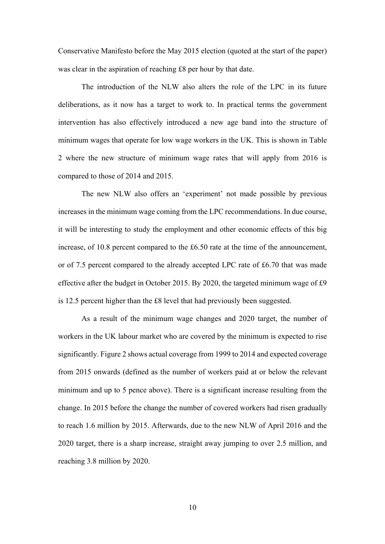Conservative Manifesto before the May 2015 election (quoted at the start of the paper) was clear in the aspiration of reaching £8 per hour by that date.

The introduction of the NLW also alters the role of the LPC in its future deliberations, as it now has a target to work to. In practical terms the government intervention has also effectively introduced a new age band into the structure of minimum wages that operate for low wage workers in the UK. This is shown in Table 2 where the new structure of minimum wage rates that will apply from 2016 is compared to those of 2014 and 2015.

 The new NLW also offers an 'experiment' not made possible by previous increases in the minimum wage coming from the LPC recommendations. In due course, it will be interesting to study the employment and other economic effects of this big increase, of 10.8 percent compared to the £6.50 rate at the time of the announcement, or of 7.5 percent compared to the already accepted LPC rate of £6.70 that was made effective after the budget in October 2015. By 2020, the targeted minimum wage of £9 is 12.5 percent higher than the £8 level that had previously been suggested.

 As a result of the minimum wage changes and 2020 target, the number of workers in the UK labour market who are covered by the minimum is expected to rise significantly. Figure 2 shows actual coverage from 1999 to 2014 and expected coverage from 2015 onwards (defined as the number of workers paid at or below the relevant minimum and up to 5 pence above). There is a significant increase resulting from the change. In 2015 before the change the number of covered workers had risen gradually to reach 1.6 million by 2015. Afterwards, due to the new NLW of April 2016 and the 2020 target, there is a sharp increase, straight away jumping to over 2.5 million, and reaching 3.8 million by 2020.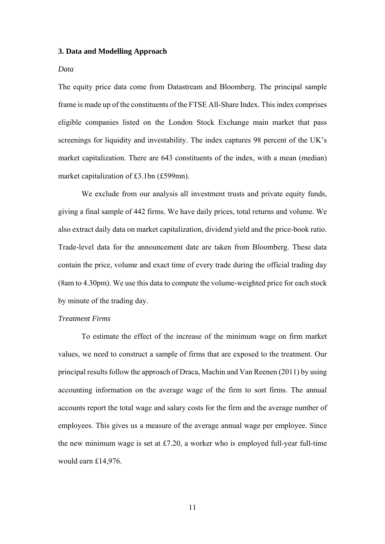#### **3. Data and Modelling Approach**

#### *Data*

The equity price data come from Datastream and Bloomberg. The principal sample frame is made up of the constituents of the FTSE All-Share Index. This index comprises eligible companies listed on the London Stock Exchange main market that pass screenings for liquidity and investability. The index captures 98 percent of the UK's market capitalization. There are 643 constituents of the index, with a mean (median) market capitalization of £3.1bn (£599mn).

We exclude from our analysis all investment trusts and private equity funds, giving a final sample of 442 firms. We have daily prices, total returns and volume. We also extract daily data on market capitalization, dividend yield and the price-book ratio. Trade-level data for the announcement date are taken from Bloomberg. These data contain the price, volume and exact time of every trade during the official trading day (8am to 4.30pm). We use this data to compute the volume-weighted price for each stock by minute of the trading day.

#### *Treatment Firms*

To estimate the effect of the increase of the minimum wage on firm market values, we need to construct a sample of firms that are exposed to the treatment. Our principal results follow the approach of Draca, Machin and Van Reenen (2011) by using accounting information on the average wage of the firm to sort firms. The annual accounts report the total wage and salary costs for the firm and the average number of employees. This gives us a measure of the average annual wage per employee. Since the new minimum wage is set at £7.20, a worker who is employed full-year full-time would earn £14,976.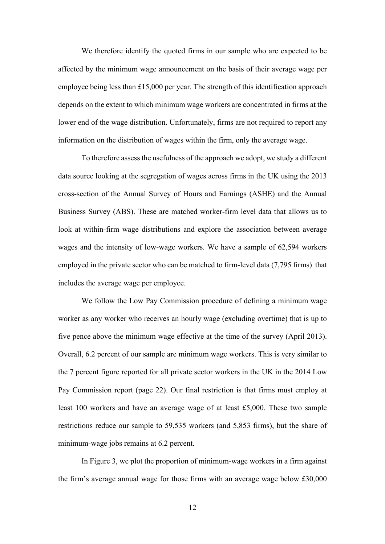We therefore identify the quoted firms in our sample who are expected to be affected by the minimum wage announcement on the basis of their average wage per employee being less than £15,000 per year. The strength of this identification approach depends on the extent to which minimum wage workers are concentrated in firms at the lower end of the wage distribution. Unfortunately, firms are not required to report any information on the distribution of wages within the firm, only the average wage.

To therefore assess the usefulness of the approach we adopt, we study a different data source looking at the segregation of wages across firms in the UK using the 2013 cross-section of the Annual Survey of Hours and Earnings (ASHE) and the Annual Business Survey (ABS). These are matched worker-firm level data that allows us to look at within-firm wage distributions and explore the association between average wages and the intensity of low-wage workers. We have a sample of 62,594 workers employed in the private sector who can be matched to firm-level data (7,795 firms) that includes the average wage per employee.

We follow the Low Pay Commission procedure of defining a minimum wage worker as any worker who receives an hourly wage (excluding overtime) that is up to five pence above the minimum wage effective at the time of the survey (April 2013). Overall, 6.2 percent of our sample are minimum wage workers. This is very similar to the 7 percent figure reported for all private sector workers in the UK in the 2014 Low Pay Commission report (page 22). Our final restriction is that firms must employ at least 100 workers and have an average wage of at least £5,000. These two sample restrictions reduce our sample to 59,535 workers (and 5,853 firms), but the share of minimum-wage jobs remains at 6.2 percent.

In Figure 3, we plot the proportion of minimum-wage workers in a firm against the firm's average annual wage for those firms with an average wage below £30,000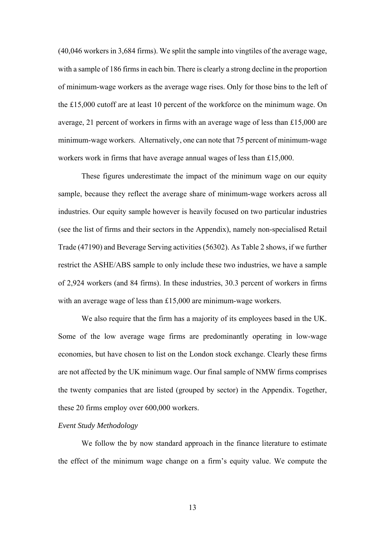(40,046 workers in 3,684 firms). We split the sample into vingtiles of the average wage, with a sample of 186 firms in each bin. There is clearly a strong decline in the proportion of minimum-wage workers as the average wage rises. Only for those bins to the left of the £15,000 cutoff are at least 10 percent of the workforce on the minimum wage. On average, 21 percent of workers in firms with an average wage of less than £15,000 are minimum-wage workers. Alternatively, one can note that 75 percent of minimum-wage workers work in firms that have average annual wages of less than £15,000.

These figures underestimate the impact of the minimum wage on our equity sample, because they reflect the average share of minimum-wage workers across all industries. Our equity sample however is heavily focused on two particular industries (see the list of firms and their sectors in the Appendix), namely non-specialised Retail Trade (47190) and Beverage Serving activities (56302). As Table 2 shows, if we further restrict the ASHE/ABS sample to only include these two industries, we have a sample of 2,924 workers (and 84 firms). In these industries, 30.3 percent of workers in firms with an average wage of less than £15,000 are minimum-wage workers.

We also require that the firm has a majority of its employees based in the UK. Some of the low average wage firms are predominantly operating in low-wage economies, but have chosen to list on the London stock exchange. Clearly these firms are not affected by the UK minimum wage. Our final sample of NMW firms comprises the twenty companies that are listed (grouped by sector) in the Appendix. Together, these 20 firms employ over 600,000 workers.

#### *Event Study Methodology*

We follow the by now standard approach in the finance literature to estimate the effect of the minimum wage change on a firm's equity value. We compute the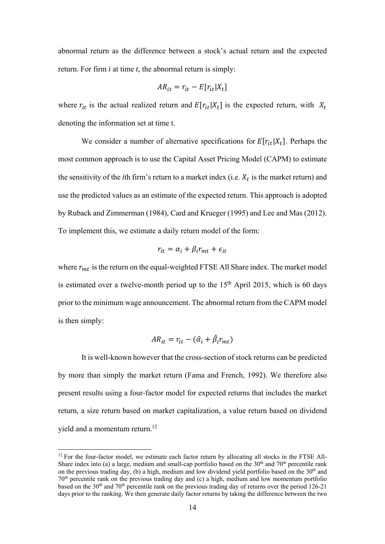abnormal return as the difference between a stock's actual return and the expected return. For firm *i* at time *t,* the abnormal return is simply:

$$
AR_{it} = r_{it} - E[r_{it}|X_t]
$$

where  $r_{it}$  is the actual realized return and  $E[r_{it}|X_t]$  is the expected return, with  $X_t$ denoting the information set at time t.

We consider a number of alternative specifications for  $E[r_{it}|X_t]$ . Perhaps the most common approach is to use the Capital Asset Pricing Model (CAPM) to estimate the sensitivity of the *i*th firm's return to a market index (i.e.  $X_t$  is the market return) and use the predicted values as an estimate of the expected return. This approach is adopted by Ruback and Zimmerman (1984), Card and Krueger (1995) and Lee and Mas (2012). To implement this, we estimate a daily return model of the form:

$$
r_{it} = \alpha_i + \beta_i r_{mt} + \epsilon_{it}
$$

where  $r_{mt}$  is the return on the equal-weighted FTSE All Share index. The market model is estimated over a twelve-month period up to the  $15<sup>th</sup>$  April 2015, which is 60 days prior to the minimum wage announcement. The abnormal return from the CAPM model is then simply:

$$
AR_{it} = r_{it} - (\hat{\alpha}_i + \hat{\beta}_i r_{mt})
$$

It is well-known however that the cross-section of stock returns can be predicted by more than simply the market return (Fama and French, 1992). We therefore also present results using a four-factor model for expected returns that includes the market return, a size return based on market capitalization, a value return based on dividend yield and a momentum return.12

 $12$  For the four-factor model, we estimate each factor return by allocating all stocks in the FTSE All-Share index into (a) a large, medium and small-cap portfolio based on the 30<sup>th</sup> and 70<sup>th</sup> percentile rank on the previous trading day, (b) a high, medium and low dividend yield portfolio based on the  $30<sup>th</sup>$  and on the previous trading day, (b) a high, medium and low dividend yield portfolio based on the  $30<sup>th</sup>$  and 70th percentile rank on the previous trading day and (c) a high, medium and low momentum portfolio based on the 30<sup>th</sup> and 70<sup>th</sup> percentile rank on the previous trading day of returns over the period 126-21 days prior to the ranking. We then generate daily factor returns by taking the difference between the two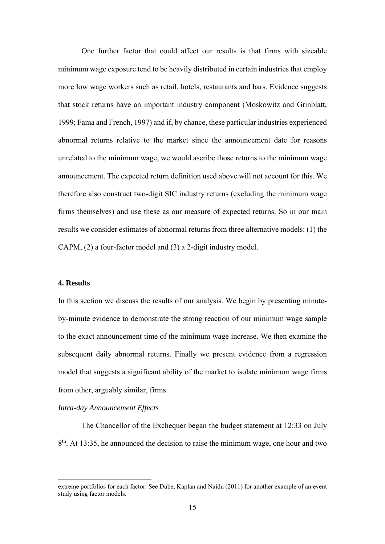One further factor that could affect our results is that firms with sizeable minimum wage exposure tend to be heavily distributed in certain industries that employ more low wage workers such as retail, hotels, restaurants and bars. Evidence suggests that stock returns have an important industry component (Moskowitz and Grinblatt, 1999; Fama and French, 1997) and if, by chance, these particular industries experienced abnormal returns relative to the market since the announcement date for reasons unrelated to the minimum wage, we would ascribe those returns to the minimum wage announcement. The expected return definition used above will not account for this. We therefore also construct two-digit SIC industry returns (excluding the minimum wage firms themselves) and use these as our measure of expected returns. So in our main results we consider estimates of abnormal returns from three alternative models: (1) the CAPM, (2) a four-factor model and (3) a 2-digit industry model.

#### **4. Results**

In this section we discuss the results of our analysis. We begin by presenting minuteby-minute evidence to demonstrate the strong reaction of our minimum wage sample to the exact announcement time of the minimum wage increase. We then examine the subsequent daily abnormal returns. Finally we present evidence from a regression model that suggests a significant ability of the market to isolate minimum wage firms from other, arguably similar, firms.

#### *Intra-day Announcement Effects*

 

The Chancellor of the Exchequer began the budget statement at 12:33 on July  $8<sup>th</sup>$ . At 13:35, he announced the decision to raise the minimum wage, one hour and two

extreme portfolios for each factor. See Dube, Kaplan and Naidu (2011) for another example of an event study using factor models.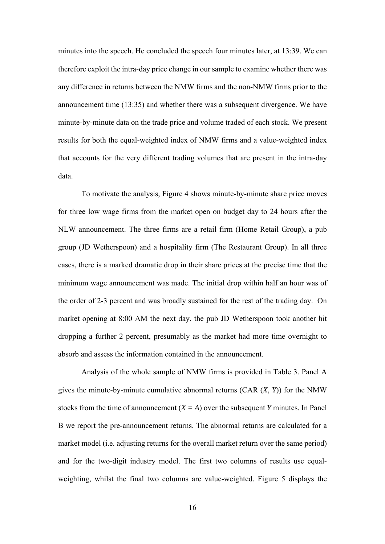minutes into the speech. He concluded the speech four minutes later, at 13:39. We can therefore exploit the intra-day price change in our sample to examine whether there was any difference in returns between the NMW firms and the non-NMW firms prior to the announcement time (13:35) and whether there was a subsequent divergence. We have minute-by-minute data on the trade price and volume traded of each stock. We present results for both the equal-weighted index of NMW firms and a value-weighted index that accounts for the very different trading volumes that are present in the intra-day data.

To motivate the analysis, Figure 4 shows minute-by-minute share price moves for three low wage firms from the market open on budget day to 24 hours after the NLW announcement. The three firms are a retail firm (Home Retail Group), a pub group (JD Wetherspoon) and a hospitality firm (The Restaurant Group). In all three cases, there is a marked dramatic drop in their share prices at the precise time that the minimum wage announcement was made. The initial drop within half an hour was of the order of 2-3 percent and was broadly sustained for the rest of the trading day. On market opening at 8:00 AM the next day, the pub JD Wetherspoon took another hit dropping a further 2 percent, presumably as the market had more time overnight to absorb and assess the information contained in the announcement.

Analysis of the whole sample of NMW firms is provided in Table 3. Panel A gives the minute-by-minute cumulative abnormal returns (CAR (*X, Y*)) for the NMW stocks from the time of announcement  $(X = A)$  over the subsequent *Y* minutes. In Panel B we report the pre-announcement returns. The abnormal returns are calculated for a market model (i.e. adjusting returns for the overall market return over the same period) and for the two-digit industry model. The first two columns of results use equalweighting, whilst the final two columns are value-weighted. Figure 5 displays the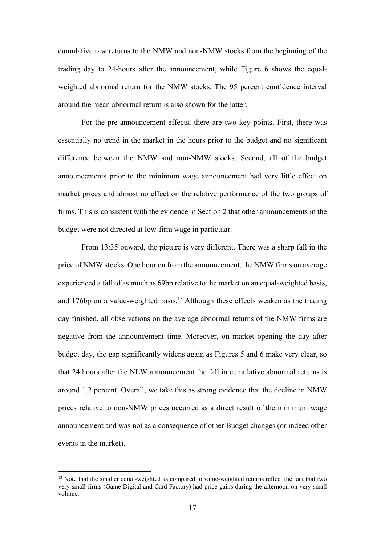cumulative raw returns to the NMW and non-NMW stocks from the beginning of the trading day to 24-hours after the announcement, while Figure 6 shows the equalweighted abnormal return for the NMW stocks. The 95 percent confidence interval around the mean abnormal return is also shown for the latter.

For the pre-announcement effects, there are two key points. First, there was essentially no trend in the market in the hours prior to the budget and no significant difference between the NMW and non-NMW stocks. Second, all of the budget announcements prior to the minimum wage announcement had very little effect on market prices and almost no effect on the relative performance of the two groups of firms. This is consistent with the evidence in Section 2 that other announcements in the budget were not directed at low-firm wage in particular.

From 13:35 onward, the picture is very different. There was a sharp fall in the price of NMW stocks. One hour on from the announcement, the NMW firms on average experienced a fall of as much as 69bp relative to the market on an equal-weighted basis, and 176bp on a value-weighted basis.<sup>13</sup> Although these effects weaken as the trading day finished, all observations on the average abnormal returns of the NMW firms are negative from the announcement time. Moreover, on market opening the day after budget day, the gap significantly widens again as Figures 5 and 6 make very clear, so that 24 hours after the NLW announcement the fall in cumulative abnormal returns is around 1.2 percent. Overall, we take this as strong evidence that the decline in NMW prices relative to non-NMW prices occurred as a direct result of the minimum wage announcement and was not as a consequence of other Budget changes (or indeed other events in the market).

<sup>&</sup>lt;sup>13</sup> Note that the smaller equal-weighted as compared to value-weighted returns reflect the fact that two very small firms (Game Digital and Card Factory) had price gains during the afternoon on very small volume.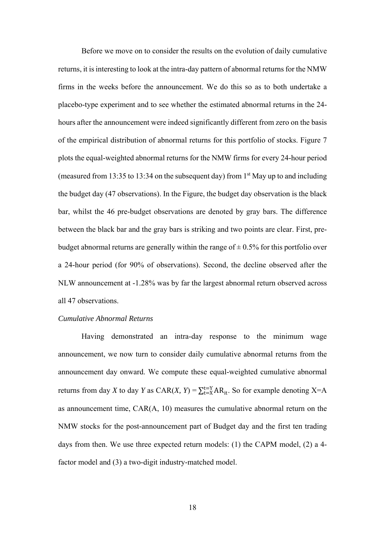Before we move on to consider the results on the evolution of daily cumulative returns, it is interesting to look at the intra-day pattern of abnormal returns for the NMW firms in the weeks before the announcement. We do this so as to both undertake a placebo-type experiment and to see whether the estimated abnormal returns in the 24 hours after the announcement were indeed significantly different from zero on the basis of the empirical distribution of abnormal returns for this portfolio of stocks. Figure 7 plots the equal-weighted abnormal returns for the NMW firms for every 24-hour period (measured from 13:35 to 13:34 on the subsequent day) from  $1<sup>st</sup>$  May up to and including the budget day (47 observations). In the Figure, the budget day observation is the black bar, whilst the 46 pre-budget observations are denoted by gray bars. The difference between the black bar and the gray bars is striking and two points are clear. First, prebudget abnormal returns are generally within the range of  $\pm$  0.5% for this portfolio over a 24-hour period (for 90% of observations). Second, the decline observed after the NLW announcement at -1.28% was by far the largest abnormal return observed across all 47 observations.

#### *Cumulative Abnormal Returns*

Having demonstrated an intra-day response to the minimum wage announcement, we now turn to consider daily cumulative abnormal returns from the announcement day onward. We compute these equal-weighted cumulative abnormal returns from day *X* to day *Y* as  $CAR(X, Y) = \sum_{t=X}^{t=Y} AR_{it}$ . So for example denoting X=A as announcement time, CAR(A, 10) measures the cumulative abnormal return on the NMW stocks for the post-announcement part of Budget day and the first ten trading days from then. We use three expected return models: (1) the CAPM model, (2) a 4 factor model and (3) a two-digit industry-matched model.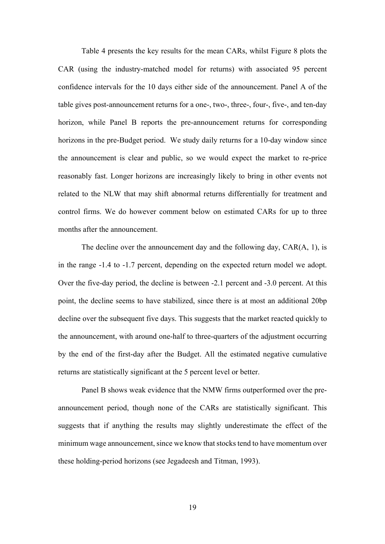Table 4 presents the key results for the mean CARs, whilst Figure 8 plots the CAR (using the industry-matched model for returns) with associated 95 percent confidence intervals for the 10 days either side of the announcement. Panel A of the table gives post-announcement returns for a one-, two-, three-, four-, five-, and ten-day horizon, while Panel B reports the pre-announcement returns for corresponding horizons in the pre-Budget period. We study daily returns for a 10-day window since the announcement is clear and public, so we would expect the market to re-price reasonably fast. Longer horizons are increasingly likely to bring in other events not related to the NLW that may shift abnormal returns differentially for treatment and control firms. We do however comment below on estimated CARs for up to three months after the announcement.

The decline over the announcement day and the following day, CAR(A, 1), is in the range -1.4 to -1.7 percent, depending on the expected return model we adopt. Over the five-day period, the decline is between -2.1 percent and -3.0 percent. At this point, the decline seems to have stabilized, since there is at most an additional 20bp decline over the subsequent five days. This suggests that the market reacted quickly to the announcement, with around one-half to three-quarters of the adjustment occurring by the end of the first-day after the Budget. All the estimated negative cumulative returns are statistically significant at the 5 percent level or better.

Panel B shows weak evidence that the NMW firms outperformed over the preannouncement period, though none of the CARs are statistically significant. This suggests that if anything the results may slightly underestimate the effect of the minimum wage announcement, since we know that stocks tend to have momentum over these holding-period horizons (see Jegadeesh and Titman, 1993).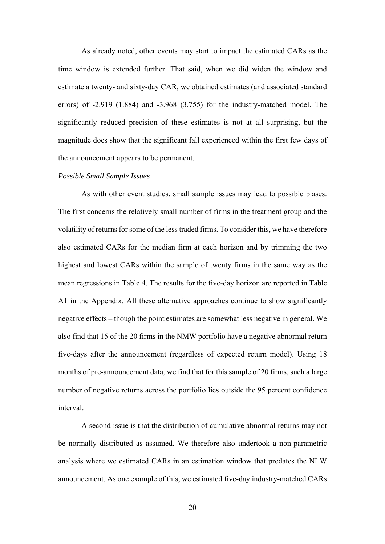As already noted, other events may start to impact the estimated CARs as the time window is extended further. That said, when we did widen the window and estimate a twenty- and sixty-day CAR, we obtained estimates (and associated standard errors) of -2.919 (1.884) and -3.968 (3.755) for the industry-matched model. The significantly reduced precision of these estimates is not at all surprising, but the magnitude does show that the significant fall experienced within the first few days of the announcement appears to be permanent.

#### *Possible Small Sample Issues*

As with other event studies, small sample issues may lead to possible biases. The first concerns the relatively small number of firms in the treatment group and the volatility of returns for some of the less traded firms. To consider this, we have therefore also estimated CARs for the median firm at each horizon and by trimming the two highest and lowest CARs within the sample of twenty firms in the same way as the mean regressions in Table 4. The results for the five-day horizon are reported in Table A1 in the Appendix. All these alternative approaches continue to show significantly negative effects – though the point estimates are somewhat less negative in general. We also find that 15 of the 20 firms in the NMW portfolio have a negative abnormal return five-days after the announcement (regardless of expected return model). Using 18 months of pre-announcement data, we find that for this sample of 20 firms, such a large number of negative returns across the portfolio lies outside the 95 percent confidence interval.

A second issue is that the distribution of cumulative abnormal returns may not be normally distributed as assumed. We therefore also undertook a non-parametric analysis where we estimated CARs in an estimation window that predates the NLW announcement. As one example of this, we estimated five-day industry-matched CARs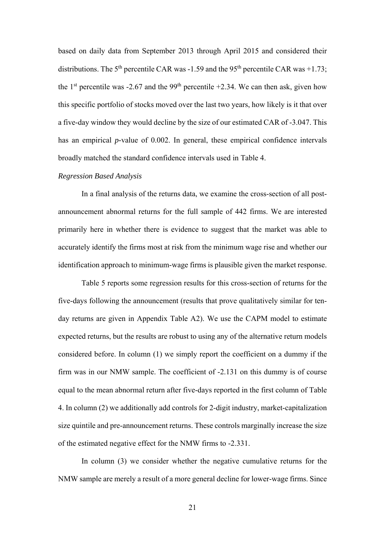based on daily data from September 2013 through April 2015 and considered their distributions. The 5<sup>th</sup> percentile CAR was  $-1.59$  and the 95<sup>th</sup> percentile CAR was  $+1.73$ ; the 1<sup>st</sup> percentile was -2.67 and the 99<sup>th</sup> percentile +2.34. We can then ask, given how this specific portfolio of stocks moved over the last two years, how likely is it that over a five-day window they would decline by the size of our estimated CAR of -3.047. This has an empirical *p-*value of 0.002. In general, these empirical confidence intervals broadly matched the standard confidence intervals used in Table 4.

#### *Regression Based Analysis*

In a final analysis of the returns data, we examine the cross-section of all postannouncement abnormal returns for the full sample of 442 firms. We are interested primarily here in whether there is evidence to suggest that the market was able to accurately identify the firms most at risk from the minimum wage rise and whether our identification approach to minimum-wage firms is plausible given the market response.

 Table 5 reports some regression results for this cross-section of returns for the five-days following the announcement (results that prove qualitatively similar for tenday returns are given in Appendix Table A2). We use the CAPM model to estimate expected returns, but the results are robust to using any of the alternative return models considered before. In column (1) we simply report the coefficient on a dummy if the firm was in our NMW sample. The coefficient of -2.131 on this dummy is of course equal to the mean abnormal return after five-days reported in the first column of Table 4. In column (2) we additionally add controls for 2-digit industry, market-capitalization size quintile and pre-announcement returns. These controls marginally increase the size of the estimated negative effect for the NMW firms to -2.331.

 In column (3) we consider whether the negative cumulative returns for the NMW sample are merely a result of a more general decline for lower-wage firms. Since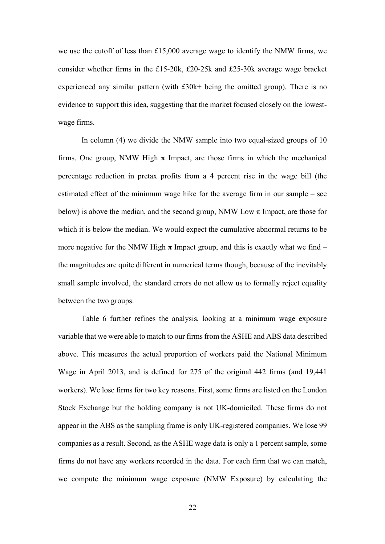we use the cutoff of less than £15,000 average wage to identify the NMW firms, we consider whether firms in the £15-20k, £20-25k and £25-30k average wage bracket experienced any similar pattern (with £30k+ being the omitted group). There is no evidence to support this idea, suggesting that the market focused closely on the lowestwage firms.

In column (4) we divide the NMW sample into two equal-sized groups of 10 firms. One group, NMW High  $\pi$  Impact, are those firms in which the mechanical percentage reduction in pretax profits from a 4 percent rise in the wage bill (the estimated effect of the minimum wage hike for the average firm in our sample – see below) is above the median, and the second group, NMW Low  $\pi$  Impact, are those for which it is below the median. We would expect the cumulative abnormal returns to be more negative for the NMW High  $\pi$  Impact group, and this is exactly what we find – the magnitudes are quite different in numerical terms though, because of the inevitably small sample involved, the standard errors do not allow us to formally reject equality between the two groups.

Table 6 further refines the analysis, looking at a minimum wage exposure variable that we were able to match to our firms from the ASHE and ABS data described above. This measures the actual proportion of workers paid the National Minimum Wage in April 2013, and is defined for 275 of the original 442 firms (and 19,441 workers). We lose firms for two key reasons. First, some firms are listed on the London Stock Exchange but the holding company is not UK-domiciled. These firms do not appear in the ABS as the sampling frame is only UK-registered companies. We lose 99 companies as a result. Second, as the ASHE wage data is only a 1 percent sample, some firms do not have any workers recorded in the data. For each firm that we can match, we compute the minimum wage exposure (NMW Exposure) by calculating the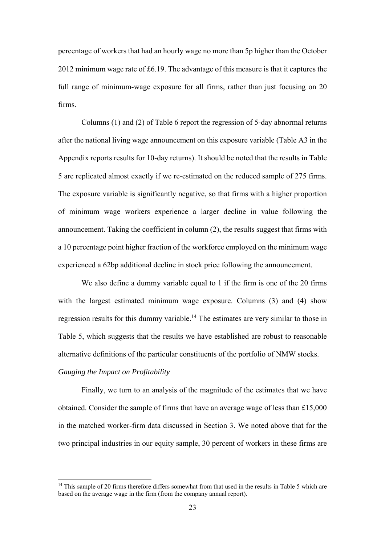percentage of workers that had an hourly wage no more than 5p higher than the October 2012 minimum wage rate of £6.19. The advantage of this measure is that it captures the full range of minimum-wage exposure for all firms, rather than just focusing on 20 firms.

Columns (1) and (2) of Table 6 report the regression of 5-day abnormal returns after the national living wage announcement on this exposure variable (Table A3 in the Appendix reports results for 10-day returns). It should be noted that the results in Table 5 are replicated almost exactly if we re-estimated on the reduced sample of 275 firms. The exposure variable is significantly negative, so that firms with a higher proportion of minimum wage workers experience a larger decline in value following the announcement. Taking the coefficient in column (2), the results suggest that firms with a 10 percentage point higher fraction of the workforce employed on the minimum wage experienced a 62bp additional decline in stock price following the announcement.

We also define a dummy variable equal to 1 if the firm is one of the 20 firms with the largest estimated minimum wage exposure. Columns (3) and (4) show regression results for this dummy variable.<sup>14</sup> The estimates are very similar to those in Table 5, which suggests that the results we have established are robust to reasonable alternative definitions of the particular constituents of the portfolio of NMW stocks.

#### *Gauging the Impact on Profitability*

 

Finally, we turn to an analysis of the magnitude of the estimates that we have obtained. Consider the sample of firms that have an average wage of less than £15,000 in the matched worker-firm data discussed in Section 3. We noted above that for the two principal industries in our equity sample, 30 percent of workers in these firms are

<sup>&</sup>lt;sup>14</sup> This sample of 20 firms therefore differs somewhat from that used in the results in Table 5 which are based on the average wage in the firm (from the company annual report).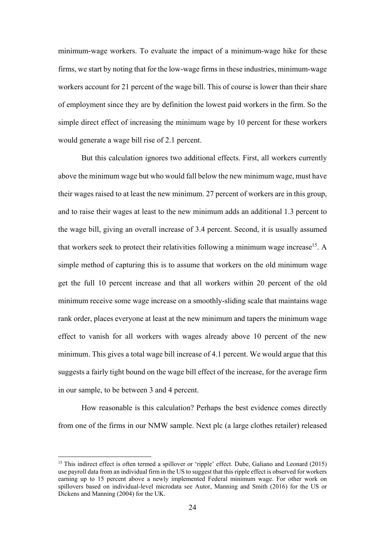minimum-wage workers. To evaluate the impact of a minimum-wage hike for these firms, we start by noting that for the low-wage firms in these industries, minimum-wage workers account for 21 percent of the wage bill. This of course is lower than their share of employment since they are by definition the lowest paid workers in the firm. So the simple direct effect of increasing the minimum wage by 10 percent for these workers would generate a wage bill rise of 2.1 percent.

But this calculation ignores two additional effects. First, all workers currently above the minimum wage but who would fall below the new minimum wage, must have their wages raised to at least the new minimum. 27 percent of workers are in this group, and to raise their wages at least to the new minimum adds an additional 1.3 percent to the wage bill, giving an overall increase of 3.4 percent. Second, it is usually assumed that workers seek to protect their relativities following a minimum wage increase<sup>15</sup>. A simple method of capturing this is to assume that workers on the old minimum wage get the full 10 percent increase and that all workers within 20 percent of the old minimum receive some wage increase on a smoothly-sliding scale that maintains wage rank order, places everyone at least at the new minimum and tapers the minimum wage effect to vanish for all workers with wages already above 10 percent of the new minimum. This gives a total wage bill increase of 4.1 percent. We would argue that this suggests a fairly tight bound on the wage bill effect of the increase, for the average firm in our sample, to be between 3 and 4 percent.

How reasonable is this calculation? Perhaps the best evidence comes directly from one of the firms in our NMW sample. Next plc (a large clothes retailer) released

<sup>&</sup>lt;sup>15</sup> This indirect effect is often termed a spillover or 'ripple' effect. Dube, Galiano and Leonard (2015) use payroll data from an individual firm in the US to suggest that this ripple effect is observed for workers earning up to 15 percent above a newly implemented Federal minimum wage. For other work on spillovers based on individual-level microdata see Autor, Manning and Smith (2016) for the US or Dickens and Manning (2004) for the UK.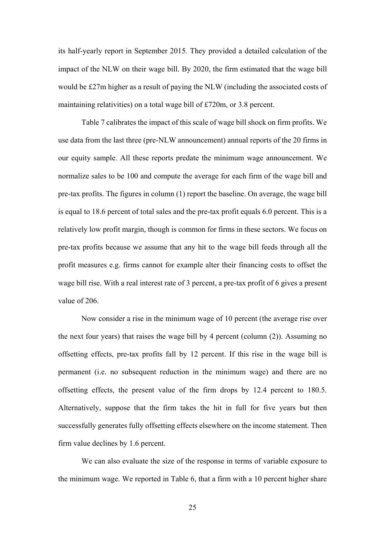its half-yearly report in September 2015. They provided a detailed calculation of the impact of the NLW on their wage bill. By 2020, the firm estimated that the wage bill would be £27m higher as a result of paying the NLW (including the associated costs of maintaining relativities) on a total wage bill of £720m, or 3.8 percent.

Table 7 calibrates the impact of this scale of wage bill shock on firm profits. We use data from the last three (pre-NLW announcement) annual reports of the 20 firms in our equity sample. All these reports predate the minimum wage announcement. We normalize sales to be 100 and compute the average for each firm of the wage bill and pre-tax profits. The figures in column (1) report the baseline. On average, the wage bill is equal to 18.6 percent of total sales and the pre-tax profit equals 6.0 percent. This is a relatively low profit margin, though is common for firms in these sectors. We focus on pre-tax profits because we assume that any hit to the wage bill feeds through all the profit measures e.g. firms cannot for example alter their financing costs to offset the wage bill rise. With a real interest rate of 3 percent, a pre-tax profit of 6 gives a present value of 206.

Now consider a rise in the minimum wage of 10 percent (the average rise over the next four years) that raises the wage bill by 4 percent (column (2)). Assuming no offsetting effects, pre-tax profits fall by 12 percent. If this rise in the wage bill is permanent (i.e. no subsequent reduction in the minimum wage) and there are no offsetting effects, the present value of the firm drops by 12.4 percent to 180.5. Alternatively, suppose that the firm takes the hit in full for five years but then successfully generates fully offsetting effects elsewhere on the income statement. Then firm value declines by 1.6 percent.

We can also evaluate the size of the response in terms of variable exposure to the minimum wage. We reported in Table 6, that a firm with a 10 percent higher share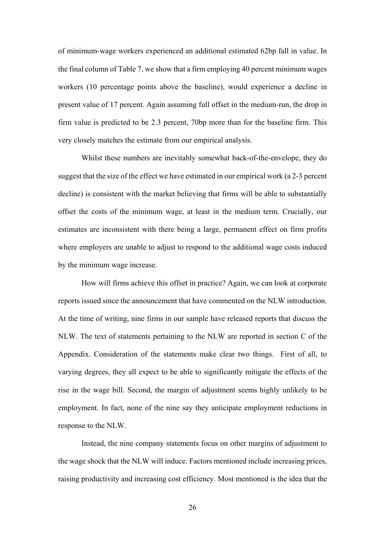of minimum-wage workers experienced an additional estimated 62bp fall in value. In the final column of Table 7, we show that a firm employing 40 percent minimum wages workers (10 percentage points above the baseline), would experience a decline in present value of 17 percent. Again assuming full offset in the medium-run, the drop in firm value is predicted to be 2.3 percent, 70bp more than for the baseline firm. This very closely matches the estimate from our empirical analysis.

Whilst these numbers are inevitably somewhat back-of-the-envelope, they do suggest that the size of the effect we have estimated in our empirical work (a 2-3 percent decline) is consistent with the market believing that firms will be able to substantially offset the costs of the minimum wage, at least in the medium term. Crucially, our estimates are inconsistent with there being a large, permanent effect on firm profits where employers are unable to adjust to respond to the additional wage costs induced by the minimum wage increase.

How will firms achieve this offset in practice? Again, we can look at corporate reports issued since the announcement that have commented on the NLW introduction. At the time of writing, nine firms in our sample have released reports that discuss the NLW. The text of statements pertaining to the NLW are reported in section C of the Appendix. Consideration of the statements make clear two things. First of all, to varying degrees, they all expect to be able to significantly mitigate the effects of the rise in the wage bill. Second, the margin of adjustment seems highly unlikely to be employment. In fact, none of the nine say they anticipate employment reductions in response to the NLW.

Instead, the nine company statements focus on other margins of adjustment to the wage shock that the NLW will induce. Factors mentioned include increasing prices, raising productivity and increasing cost efficiency. Most mentioned is the idea that the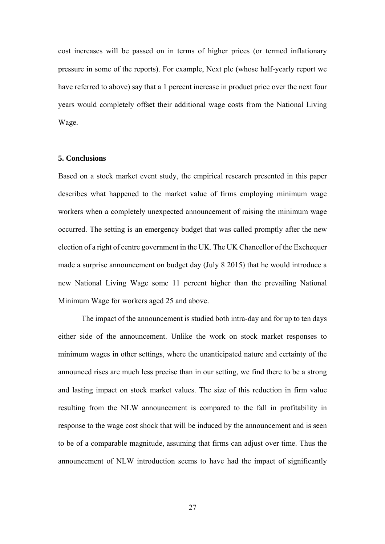cost increases will be passed on in terms of higher prices (or termed inflationary pressure in some of the reports). For example, Next plc (whose half-yearly report we have referred to above) say that a 1 percent increase in product price over the next four years would completely offset their additional wage costs from the National Living Wage.

#### **5. Conclusions**

Based on a stock market event study, the empirical research presented in this paper describes what happened to the market value of firms employing minimum wage workers when a completely unexpected announcement of raising the minimum wage occurred. The setting is an emergency budget that was called promptly after the new election of a right of centre government in the UK. The UK Chancellor of the Exchequer made a surprise announcement on budget day (July 8 2015) that he would introduce a new National Living Wage some 11 percent higher than the prevailing National Minimum Wage for workers aged 25 and above.

 The impact of the announcement is studied both intra-day and for up to ten days either side of the announcement. Unlike the work on stock market responses to minimum wages in other settings, where the unanticipated nature and certainty of the announced rises are much less precise than in our setting, we find there to be a strong and lasting impact on stock market values. The size of this reduction in firm value resulting from the NLW announcement is compared to the fall in profitability in response to the wage cost shock that will be induced by the announcement and is seen to be of a comparable magnitude, assuming that firms can adjust over time. Thus the announcement of NLW introduction seems to have had the impact of significantly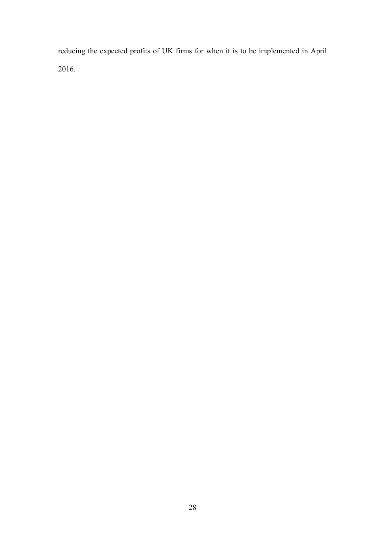reducing the expected profits of UK firms for when it is to be implemented in April 2016.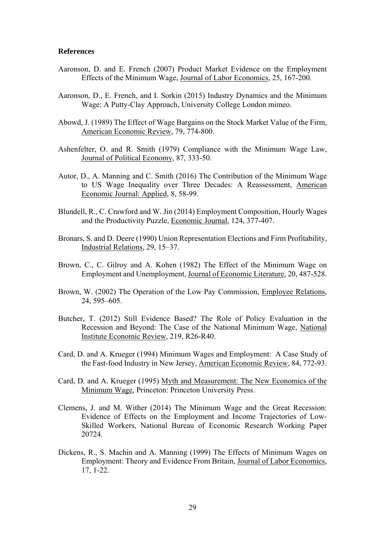#### **References**

- Aaronson, D. and E. French (2007) Product Market Evidence on the Employment Effects of the Minimum Wage, Journal of Labor Economics, 25, 167-200.
- Aaronson, D., E. French, and I. Sorkin (2015) Industry Dynamics and the Minimum Wage: A Putty-Clay Approach, University College London mimeo.
- Abowd, J. (1989) The Effect of Wage Bargains on the Stock Market Value of the Firm, American Economic Review*,* 79, 774-800.
- Ashenfelter, O. and R. Smith (1979) Compliance with the Minimum Wage Law, Journal of Political Economy, 87, 333-50.
- Autor, D., A. Manning and C. Smith (2016) The Contribution of the Minimum Wage to US Wage Inequality over Three Decades: A Reassessment, American Economic Journal: Applied, 8, 58-99.
- Blundell, R., C. Crawford and W. Jin (2014) Employment Composition, Hourly Wages and the Productivity Puzzle, Economic Journal, 124, 377-407.
- Bronars, S. and D. Deere (1990) Union Representation Elections and Firm Profitability, Industrial Relations, 29, 15–37.
- Brown, C., C. Gilroy and A. Kohen (1982) The Effect of the Minimum Wage on Employment and Unemployment, Journal of Economic Literature, 20, 487-528.
- Brown, W. (2002) The Operation of the Low Pay Commission, Employee Relations, 24, 595–605.
- Butcher, T. (2012) Still Evidence Based? The Role of Policy Evaluation in the Recession and Beyond: The Case of the National Minimum Wage, National Institute Economic Review, 219, R26-R40.
- Card, D. and A. Krueger (1994) Minimum Wages and Employment: A Case Study of the Fast-food Industry in New Jersey, American Economic Review, 84, 772-93.
- Card, D. and A. Krueger (1995) Myth and Measurement: The New Economics of the Minimum Wage*,* Princeton: Princeton University Press.
- Clemens, J. and M. Wither (2014) The Minimum Wage and the Great Recession: Evidence of Effects on the Employment and Income Trajectories of Low-Skilled Workers, National Bureau of Economic Research Working Paper 20724.
- Dickens, R., S. Machin and A. Manning (1999) The Effects of Minimum Wages on Employment: Theory and Evidence From Britain, Journal of Labor Economics, 17, 1-22.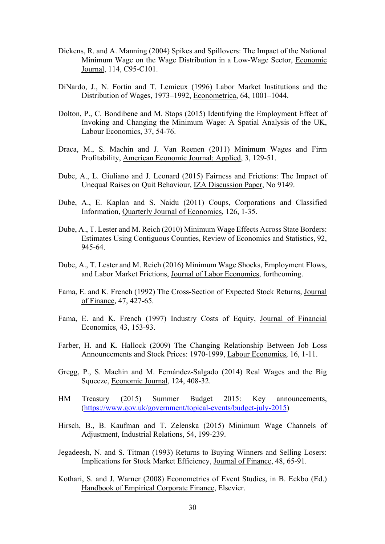- Dickens, R. and A. Manning (2004) Spikes and Spillovers: The Impact of the National Minimum Wage on the Wage Distribution in a Low-Wage Sector, Economic Journal, 114, C95-C101.
- DiNardo, J., N. Fortin and T. Lemieux (1996) Labor Market Institutions and the Distribution of Wages, 1973–1992, Econometrica, 64, 1001–1044.
- Dolton, P., C. Bondibene and M. Stops (2015) Identifying the Employment Effect of Invoking and Changing the Minimum Wage: A Spatial Analysis of the UK, Labour Economics, 37, 54-76.
- Draca, M., S. Machin and J. Van Reenen (2011) Minimum Wages and Firm Profitability, American Economic Journal: Applied, 3, 129-51.
- Dube, A., L. Giuliano and J. Leonard (2015) Fairness and Frictions: The Impact of Unequal Raises on Quit Behaviour, IZA Discussion Paper, No 9149.
- Dube, A., E. Kaplan and S. Naidu (2011) Coups, Corporations and Classified Information, Quarterly Journal of Economics*,* 126, 1-35.
- Dube, A., T. Lester and M. Reich (2010) Minimum Wage Effects Across State Borders: Estimates Using Contiguous Counties, Review of Economics and Statistics, 92, 945-64.
- Dube, A., T. Lester and M. Reich (2016) Minimum Wage Shocks, Employment Flows, and Labor Market Frictions, Journal of Labor Economics, forthcoming.
- Fama, E. and K. French (1992) The Cross-Section of Expected Stock Returns, Journal of Finance*,* 47, 427-65.
- Fama, E. and K. French (1997) Industry Costs of Equity, Journal of Financial Economics*,* 43, 153-93.
- Farber, H. and K. Hallock (2009) The Changing Relationship Between Job Loss Announcements and Stock Prices: 1970-1999, Labour Economics*,* 16, 1-11.
- Gregg, P., S. Machin and M. Fernández-Salgado (2014) Real Wages and the Big Squeeze, Economic Journal, 124, 408-32.
- HM Treasury (2015) Summer Budget 2015: Key announcements, (https://www.gov.uk/government/topical-events/budget-july-2015)
- Hirsch, B., B. Kaufman and T. Zelenska (2015) Minimum Wage Channels of Adjustment, Industrial Relations, 54, 199-239.
- Jegadeesh, N. and S. Titman (1993) Returns to Buying Winners and Selling Losers: Implications for Stock Market Efficiency, Journal of Finance, 48, 65-91.
- Kothari, S. and J. Warner (2008) Econometrics of Event Studies, in B. Eckbo (Ed.) Handbook of Empirical Corporate Finance, Elsevier.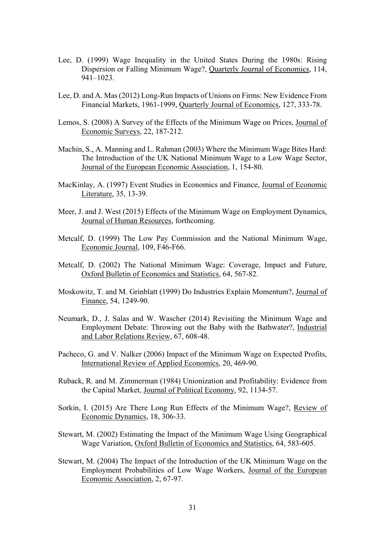- Lee, D. (1999) Wage Inequality in the United States During the 1980s: Rising Dispersion or Falling Minimum Wage?, Quarterly Journal of Economics, 114, 941–1023.
- Lee, D. and A. Mas (2012) Long-Run Impacts of Unions on Firms: New Evidence From Financial Markets, 1961-1999, Quarterly Journal of Economics*,* 127, 333-78.
- Lemos, S. (2008) A Survey of the Effects of the Minimum Wage on Prices, Journal of Economic Surveys, 22, 187-212.
- Machin, S., A. Manning and L. Rahman (2003) Where the Minimum Wage Bites Hard: The Introduction of the UK National Minimum Wage to a Low Wage Sector, Journal of the European Economic Association, 1, 154-80.
- MacKinlay, A. (1997) Event Studies in Economics and Finance, Journal of Economic Literature*,* 35, 13-39.
- Meer, J. and J. West (2015) Effects of the Minimum Wage on Employment Dynamics, Journal of Human Resources, forthcoming.
- Metcalf, D. (1999) The Low Pay Commission and the National Minimum Wage, Economic Journal, 109, F46-F66.
- Metcalf, D. (2002) The National Minimum Wage: Coverage, Impact and Future, Oxford Bulletin of Economics and Statistics, 64, 567-82.
- Moskowitz, T. and M. Grinblatt (1999) Do Industries Explain Momentum?, Journal of Finance*,* 54, 1249-90.
- Neumark, D., J. Salas and W. Wascher (2014) Revisiting the Minimum Wage and Employment Debate: Throwing out the Baby with the Bathwater?, Industrial and Labor Relations Review, 67, 608-48.
- Pacheco, G. and V. Nalker (2006) Impact of the Minimum Wage on Expected Profits, International Review of Applied Economics*,* 20, 469-90.
- Ruback, R. and M. Zimmerman (1984) Unionization and Profitability: Evidence from the Capital Market, Journal of Political Economy*,* 92, 1134-57.
- Sorkin, I. (2015) Are There Long Run Effects of the Minimum Wage?, Review of Economic Dynamics, 18, 306-33.
- Stewart, M. (2002) Estimating the Impact of the Minimum Wage Using Geographical Wage Variation, Oxford Bulletin of Economics and Statistics, 64, 583-605.
- Stewart, M. (2004) The Impact of the Introduction of the UK Minimum Wage on the Employment Probabilities of Low Wage Workers, Journal of the European Economic Association, 2, 67-97.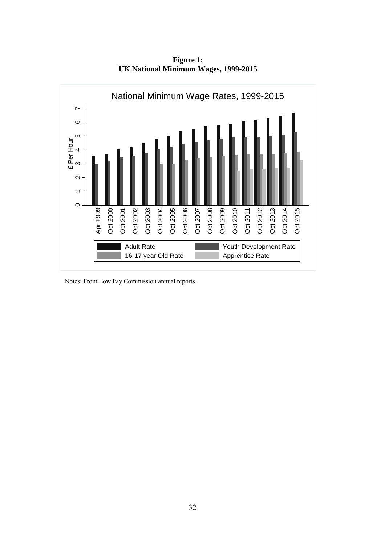

**Figure 1: UK National Minimum Wages, 1999-2015** 

Notes: From Low Pay Commission annual reports.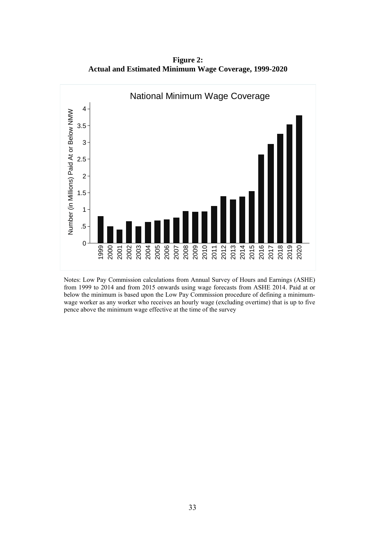**Figure 2: Actual and Estimated Minimum Wage Coverage, 1999-2020** 



 Notes: Low Pay Commission calculations from Annual Survey of Hours and Earnings (ASHE) from 1999 to 2014 and from 2015 onwards using wage forecasts from ASHE 2014. Paid at or below the minimum is based upon the Low Pay Commission procedure of defining a minimumwage worker as any worker who receives an hourly wage (excluding overtime) that is up to five pence above the minimum wage effective at the time of the survey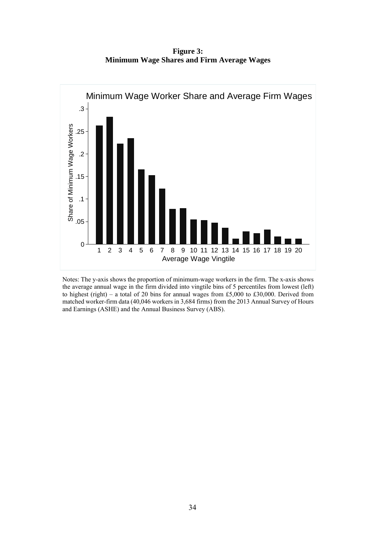**Figure 3: Minimum Wage Shares and Firm Average Wages** 



Notes: The y-axis shows the proportion of minimum-wage workers in the firm. The x-axis shows the average annual wage in the firm divided into vingtile bins of 5 percentiles from lowest (left) to highest (right) – a total of 20 bins for annual wages from £5,000 to £30,000. Derived from matched worker-firm data (40,046 workers in 3,684 firms) from the 2013 Annual Survey of Hours and Earnings (ASHE) and the Annual Business Survey (ABS).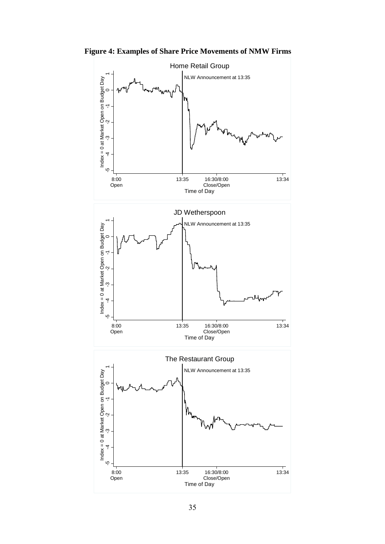**Figure 4: Examples of Share Price Movements of NMW Firms** 

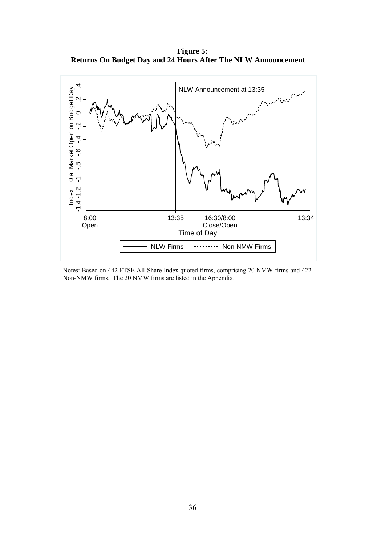**Figure 5: Returns On Budget Day and 24 Hours After The NLW Announcement** 



Notes: Based on 442 FTSE All-Share Index quoted firms, comprising 20 NMW firms and 422 Non-NMW firms. The 20 NMW firms are listed in the Appendix.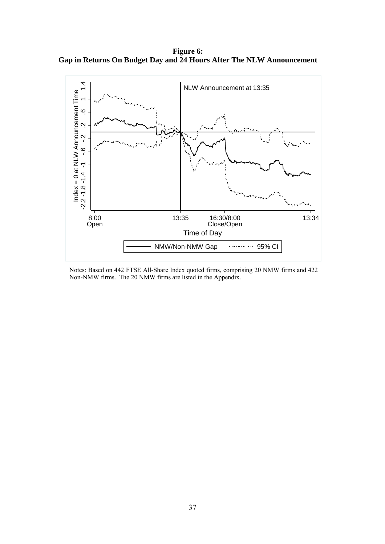**Figure 6: Gap in Returns On Budget Day and 24 Hours After The NLW Announcement** 



Notes: Based on 442 FTSE All-Share Index quoted firms, comprising 20 NMW firms and 422 Non-NMW firms. The 20 NMW firms are listed in the Appendix.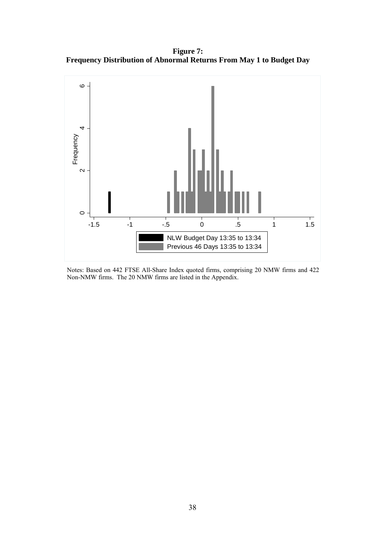**Figure 7: Frequency Distribution of Abnormal Returns From May 1 to Budget Day** 



Notes: Based on 442 FTSE All-Share Index quoted firms, comprising 20 NMW firms and 422 Non-NMW firms. The 20 NMW firms are listed in the Appendix.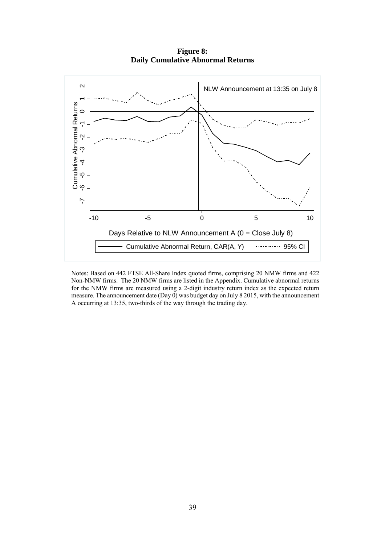**Figure 8: Daily Cumulative Abnormal Returns** 



Notes: Based on 442 FTSE All-Share Index quoted firms, comprising 20 NMW firms and 422 Non-NMW firms. The 20 NMW firms are listed in the Appendix. Cumulative abnormal returns for the NMW firms are measured using a 2-digit industry return index as the expected return measure. The announcement date (Day 0) was budget day on July 8 2015, with the announcement A occurring at 13:35, two-thirds of the way through the trading day.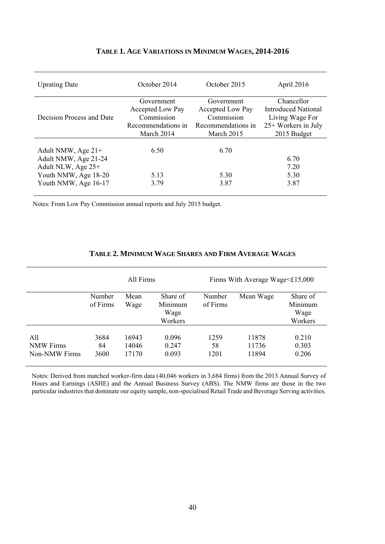| <b>Uprating Date</b>      | October 2014       | October 2015       | April 2016            |
|---------------------------|--------------------|--------------------|-----------------------|
|                           | Government         | Government         | Chancellor            |
|                           | Accepted Low Pay   | Accepted Low Pay   | Introduced National   |
| Decision Process and Date | Commission         | Commission         | Living Wage For       |
|                           | Recommendations in | Recommendations in | $25+$ Workers in July |
|                           | March 2014         | March 2015         | 2015 Budget           |
|                           |                    |                    |                       |
| Adult NMW, Age 21+        | 6.50               | 6.70               |                       |
| Adult NMW, Age 21-24      |                    |                    | 6.70                  |
| Adult NLW, Age 25+        |                    |                    | 7.20                  |
| Youth NMW, Age 18-20      | 5.13               | 5.30               | 5.30                  |
| Youth NMW, Age 16-17      | 3.79               | 3.87               | 3.87                  |
|                           |                    |                    |                       |

#### **TABLE 1. AGE VARIATIONS IN MINIMUM WAGES, 2014-2016**

Notes: From Low Pay Commission annual reports and July 2015 budget.

|                                          |                    | All Firms               |                                        |                    | Firms With Average Wage $\leq$ £15,000 |                                        |
|------------------------------------------|--------------------|-------------------------|----------------------------------------|--------------------|----------------------------------------|----------------------------------------|
|                                          | Number<br>of Firms | Mean<br>Wage            | Share of<br>Minimum<br>Wage<br>Workers | Number<br>of Firms | Mean Wage                              | Share of<br>Minimum<br>Wage<br>Workers |
| All<br><b>NMW Firms</b><br>Non-NMW Firms | 3684<br>84<br>3600 | 16943<br>14046<br>17170 | 0.096<br>0.247<br>0.093                | 1259<br>58<br>1201 | 11878<br>11736<br>11894                | 0.210<br>0.303<br>0.206                |

#### **TABLE 2. MINIMUM WAGE SHARES AND FIRM AVERAGE WAGES**

Notes: Derived from matched worker-firm data (40,046 workers in 3,684 firms) from the 2013 Annual Survey of Hours and Earnings (ASHE) and the Annual Business Survey (ABS). The NMW firms are those in the two particular industries that dominate our equity sample, non-specialised Retail Trade and Beverage Serving activities.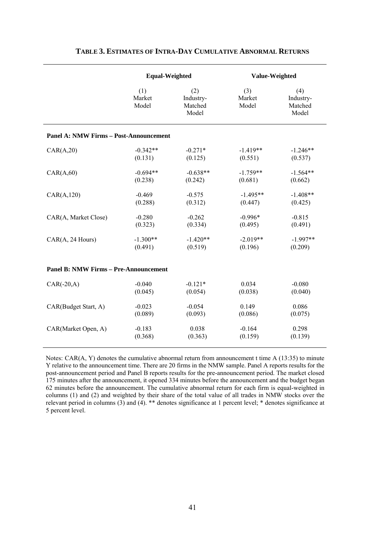|                                               | <b>Equal-Weighted</b>  |                                      | Value-Weighted         |                                      |
|-----------------------------------------------|------------------------|--------------------------------------|------------------------|--------------------------------------|
|                                               | (1)<br>Market<br>Model | (2)<br>Industry-<br>Matched<br>Model | (3)<br>Market<br>Model | (4)<br>Industry-<br>Matched<br>Model |
| <b>Panel A: NMW Firms - Post-Announcement</b> |                        |                                      |                        |                                      |
| CAR(A, 20)                                    | $-0.342**$             | $-0.271*$                            | $-1.419**$             | $-1.246**$                           |
|                                               | (0.131)                | (0.125)                              | (0.551)                | (0.537)                              |
| CAR(A, 60)                                    | $-0.694**$             | $-0.638**$                           | $-1.759**$             | $-1.564**$                           |
|                                               | (0.238)                | (0.242)                              | (0.681)                | (0.662)                              |
| CAR(A, 120)                                   | $-0.469$               | $-0.575$                             | $-1.495**$             | $-1.408**$                           |
|                                               | (0.288)                | (0.312)                              | (0.447)                | (0.425)                              |
| CAR(A, Market Close)                          | $-0.280$               | $-0.262$                             | $-0.996*$              | $-0.815$                             |
|                                               | (0.323)                | (0.334)                              | (0.495)                | (0.491)                              |
| CAR(A, 24 Hours)                              | $-1.300**$             | $-1.420**$                           | $-2.019**$             | $-1.997**$                           |
|                                               | (0.491)                | (0.519)                              | (0.196)                | (0.209)                              |
| <b>Panel B: NMW Firms - Pre-Announcement</b>  |                        |                                      |                        |                                      |
| $CAR(-20,A)$                                  | $-0.040$               | $-0.121*$                            | 0.034                  | $-0.080$                             |
|                                               | (0.045)                | (0.054)                              | (0.038)                | (0.040)                              |
| CAR(Budget Start, A)                          | $-0.023$               | $-0.054$                             | 0.149                  | 0.086                                |
|                                               | (0.089)                | (0.093)                              | (0.086)                | (0.075)                              |
| CAR(Market Open, A)                           | $-0.183$               | 0.038                                | $-0.164$               | 0.298                                |
|                                               | (0.368)                | (0.363)                              | (0.159)                | (0.139)                              |

#### **TABLE 3. ESTIMATES OF INTRA-DAY CUMULATIVE ABNORMAL RETURNS**

Notes: CAR(A, Y) denotes the cumulative abnormal return from announcement t time A (13:35) to minute Y relative to the announcement time. There are 20 firms in the NMW sample. Panel A reports results for the post-announcement period and Panel B reports results for the pre-announcement period. The market closed 175 minutes after the announcement, it opened 334 minutes before the announcement and the budget began 62 minutes before the announcement. The cumulative abnormal return for each firm is equal-weighted in columns (1) and (2) and weighted by their share of the total value of all trades in NMW stocks over the relevant period in columns (3) and (4). \*\* denotes significance at 1 percent level; \* denotes significance at 5 percent level.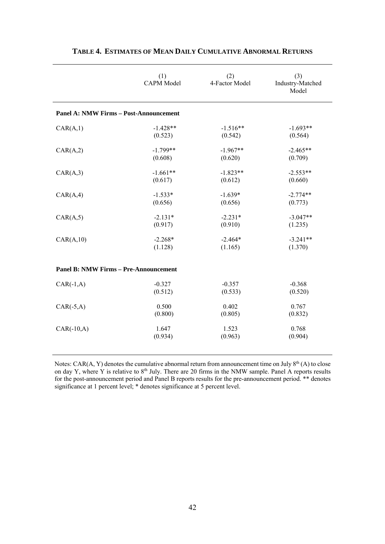|                                               | (1)<br><b>CAPM Model</b> | (2)<br>4-Factor Model | (3)<br>Industry-Matched<br>Model |
|-----------------------------------------------|--------------------------|-----------------------|----------------------------------|
| <b>Panel A: NMW Firms - Post-Announcement</b> |                          |                       |                                  |
| CAR(A,1)                                      | $-1.428**$               | $-1.516**$            | $-1.693**$                       |
|                                               | (0.523)                  | (0.542)               | (0.564)                          |
| CAR(A,2)                                      | $-1.799**$               | $-1.967**$            | $-2.465**$                       |
|                                               | (0.608)                  | (0.620)               | (0.709)                          |
| CAR(A,3)                                      | $-1.661**$               | $-1.823**$            | $-2.553**$                       |
|                                               | (0.617)                  | (0.612)               | (0.660)                          |
| CAR(A,4)                                      | $-1.533*$                | $-1.639*$             | $-2.774**$                       |
|                                               | (0.656)                  | (0.656)               | (0.773)                          |
| CAR(A, 5)                                     | $-2.131*$                | $-2.231*$             | $-3.047**$                       |
|                                               | (0.917)                  | (0.910)               | (1.235)                          |
| CAR(A, 10)                                    | $-2.268*$                | $-2.464*$             | $-3.241**$                       |
|                                               | (1.128)                  | (1.165)               | (1.370)                          |
| <b>Panel B: NMW Firms - Pre-Announcement</b>  |                          |                       |                                  |
| $CAR(-1,A)$                                   | $-0.327$                 | $-0.357$              | $-0.368$                         |
|                                               | (0.512)                  | (0.533)               | (0.520)                          |
| $CAR(-5,A)$                                   | 0.500                    | 0.402                 | 0.767                            |
|                                               | (0.800)                  | (0.805)               | (0.832)                          |
| $CAR(-10,A)$                                  | 1.647                    | 1.523                 | 0.768                            |
|                                               | (0.934)                  | (0.963)               | (0.904)                          |

#### **TABLE 4. ESTIMATES OF MEAN DAILY CUMULATIVE ABNORMAL RETURNS**

Notes: CAR(A, Y) denotes the cumulative abnormal return from announcement time on July 8<sup>th</sup> (A) to close on day Y, where Y is relative to  $8<sup>th</sup>$  July. There are 20 firms in the NMW sample. Panel A reports results for the post-announcement period and Panel B reports results for the pre-announcement period. \*\* denotes significance at 1 percent level; \* denotes significance at 5 percent level.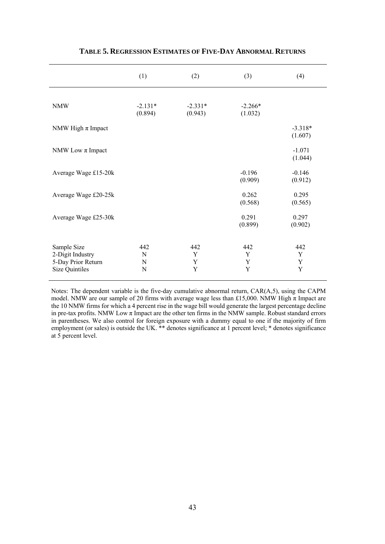|                       | (1)                  | (2)                  | (3)                  | (4)         |
|-----------------------|----------------------|----------------------|----------------------|-------------|
|                       |                      |                      |                      |             |
| <b>NMW</b>            | $-2.131*$<br>(0.894) | $-2.331*$<br>(0.943) | $-2.266*$<br>(1.032) |             |
|                       |                      |                      |                      |             |
| NMW High $\pi$ Impact |                      |                      |                      | $-3.318*$   |
|                       |                      |                      |                      | (1.607)     |
|                       |                      |                      |                      |             |
| NMW Low $\pi$ Impact  |                      |                      |                      | $-1.071$    |
|                       |                      |                      |                      | (1.044)     |
|                       |                      |                      | $-0.196$             | $-0.146$    |
| Average Wage £15-20k  |                      |                      | (0.909)              | (0.912)     |
|                       |                      |                      |                      |             |
| Average Wage £20-25k  |                      |                      | 0.262                | 0.295       |
|                       |                      |                      | (0.568)              | (0.565)     |
|                       |                      |                      |                      |             |
| Average Wage £25-30k  |                      |                      | 0.291                | 0.297       |
|                       |                      |                      | (0.899)              | (0.902)     |
|                       |                      |                      |                      |             |
| Sample Size           | 442                  | 442                  | 442                  | 442         |
| 2-Digit Industry      | N                    | Y                    | Y                    | Y           |
| 5-Day Prior Return    | N                    | Y                    | Y                    | $\mathbf Y$ |
| <b>Size Quintiles</b> | N                    | Y                    | Y                    | Y           |
|                       |                      |                      |                      |             |

#### **TABLE 5. REGRESSION ESTIMATES OF FIVE-DAY ABNORMAL RETURNS**

 Notes: The dependent variable is the five-day cumulative abnormal return, CAR(A,5), using the CAPM the 10 NMW firms for which a 4 percent rise in the wage bill would generate the largest percentage decline at 5 percent level. model. NMW are our sample of 20 firms with average wage less than £15,000. NMW High  $\pi$  Impact are in pre-tax profits. NMW Low  $\pi$  Impact are the other ten firms in the NMW sample. Robust standard errors in parentheses. We also control for foreign exposure with a dummy equal to one if the majority of firm employment (or sales) is outside the UK. \*\* denotes significance at 1 percent level; \* denotes significance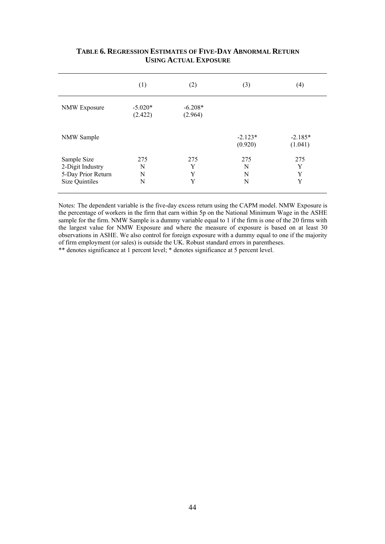|                                                                         | (1)                  | (2)                  | (3)                  | (4)                  |
|-------------------------------------------------------------------------|----------------------|----------------------|----------------------|----------------------|
| <b>NMW Exposure</b>                                                     | $-5.020*$<br>(2.422) | $-6.208*$<br>(2.964) |                      |                      |
| NMW Sample                                                              |                      |                      | $-2.123*$<br>(0.920) | $-2.185*$<br>(1.041) |
| Sample Size<br>2-Digit Industry<br>5-Day Prior Return<br>Size Quintiles | 275<br>N<br>N<br>N   | 275<br>Y<br>Y<br>Y   | 275<br>N<br>N<br>N   | 275<br>Y<br>Y<br>Y   |

#### **TABLE 6. REGRESSION ESTIMATES OF FIVE-DAY ABNORMAL RETURN USING ACTUAL EXPOSURE**

of firm employment (or sales) is outside the UK. Robust standard errors in parentheses. Notes: The dependent variable is the five-day excess return using the CAPM model. NMW Exposure is the percentage of workers in the firm that earn within 5p on the National Minimum Wage in the ASHE sample for the firm. NMW Sample is a dummy variable equal to 1 if the firm is one of the 20 firms with the largest value for NMW Exposure and where the measure of exposure is based on at least 30 observations in ASHE. We also control for foreign exposure with a dummy equal to one if the majority \*\* denotes significance at 1 percent level; \* denotes significance at 5 percent level.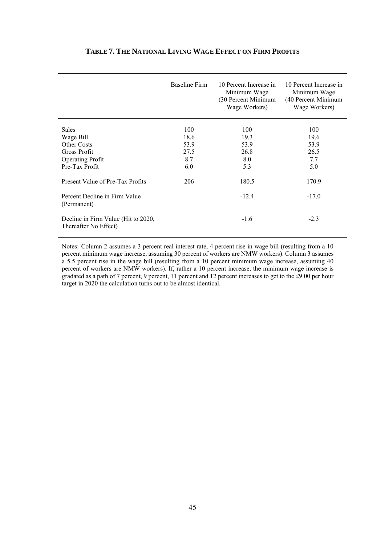|                                                              | <b>Baseline Firm</b> | 10 Percent Increase in<br>Minimum Wage<br>(30 Percent Minimum<br>Wage Workers) | 10 Percent Increase in<br>Minimum Wage<br>(40 Percent Minimum<br>Wage Workers) |
|--------------------------------------------------------------|----------------------|--------------------------------------------------------------------------------|--------------------------------------------------------------------------------|
| <b>Sales</b>                                                 | 100                  | 100                                                                            | 100                                                                            |
| Wage Bill                                                    | 18.6                 | 19.3                                                                           | 19.6                                                                           |
| <b>Other Costs</b>                                           | 53.9                 | 53.9                                                                           | 53.9                                                                           |
| Gross Profit                                                 | 27.5                 | 26.8                                                                           | 26.5                                                                           |
| <b>Operating Profit</b>                                      | 8.7                  | 8.0                                                                            | 7.7                                                                            |
| Pre-Tax Profit                                               | 6.0                  | 5.3                                                                            | 5.0                                                                            |
| Present Value of Pre-Tax Profits                             | 206                  | 180.5                                                                          | 170.9                                                                          |
| Percent Decline in Firm Value<br>(Permanent)                 |                      | $-12.4$                                                                        | $-17.0$                                                                        |
| Decline in Firm Value (Hit to 2020,<br>Thereafter No Effect) |                      | $-1.6$                                                                         | $-2.3$                                                                         |

#### **TABLE 7. THE NATIONAL LIVING WAGE EFFECT ON FIRM PROFITS**

Notes: Column 2 assumes a 3 percent real interest rate, 4 percent rise in wage bill (resulting from a 10 percent minimum wage increase, assuming 30 percent of workers are NMW workers). Column 3 assumes a 5.5 percent rise in the wage bill (resulting from a 10 percent minimum wage increase, assuming 40 percent of workers are NMW workers). If, rather a 10 percent increase, the minimum wage increase is gradated as a path of 7 percent, 9 percent, 11 percent and 12 percent increases to get to the £9.00 per hour target in 2020 the calculation turns out to be almost identical.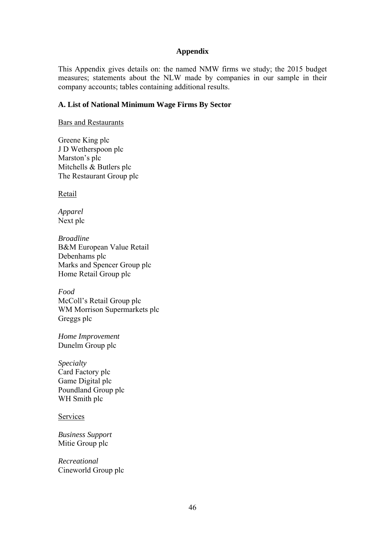#### **Appendix**

This Appendix gives details on: the named NMW firms we study; the 2015 budget measures; statements about the NLW made by companies in our sample in their company accounts; tables containing additional results.

#### **A. List of National Minimum Wage Firms By Sector**

Bars and Restaurants

Greene King plc J D Wetherspoon plc Marston's plc Mitchells & Butlers plc The Restaurant Group plc

Retail

*Apparel* Next plc

*Broadline*  B&M European Value Retail Debenhams plc Marks and Spencer Group plc Home Retail Group plc

*Food* McColl's Retail Group plc WM Morrison Supermarkets plc Greggs plc

*Home Improvement*  Dunelm Group plc

*Specialty*  Card Factory plc Game Digital plc Poundland Group plc WH Smith plc

Services

*Business Support*  Mitie Group plc

*Recreational*  Cineworld Group plc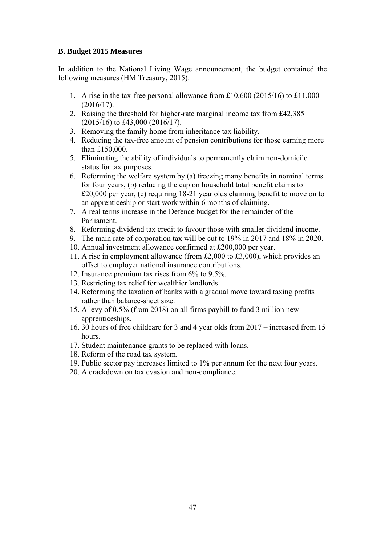#### **B. Budget 2015 Measures**

In addition to the National Living Wage announcement, the budget contained the following measures (HM Treasury, 2015):

- 1. A rise in the tax-free personal allowance from £10,600 (2015/16) to £11,000 (2016/17).
- 2. Raising the threshold for higher-rate marginal income tax from £42,385 (2015/16) to £43,000 (2016/17).
- 3. Removing the family home from inheritance tax liability.
- 4. Reducing the tax-free amount of pension contributions for those earning more than £150,000.
- 5. Eliminating the ability of individuals to permanently claim non-domicile status for tax purposes.
- 6. Reforming the welfare system by (a) freezing many benefits in nominal terms for four years, (b) reducing the cap on household total benefit claims to £20,000 per year, (c) requiring 18-21 year olds claiming benefit to move on to an apprenticeship or start work within 6 months of claiming.
- 7. A real terms increase in the Defence budget for the remainder of the Parliament.
- 8. Reforming dividend tax credit to favour those with smaller dividend income.
- 9. The main rate of corporation tax will be cut to 19% in 2017 and 18% in 2020.
- 10. Annual investment allowance confirmed at £200,000 per year.
- 11. A rise in employment allowance (from £2,000 to £3,000), which provides an offset to employer national insurance contributions.
- 12. Insurance premium tax rises from 6% to 9.5%.
- 13. Restricting tax relief for wealthier landlords.
- 14. Reforming the taxation of banks with a gradual move toward taxing profits rather than balance-sheet size.
- 15. A levy of 0.5% (from 2018) on all firms paybill to fund 3 million new apprenticeships.
- 16. 30 hours of free childcare for 3 and 4 year olds from 2017 increased from 15 hours.
- 17. Student maintenance grants to be replaced with loans.
- 18. Reform of the road tax system.
- 19. Public sector pay increases limited to 1% per annum for the next four years.
- 20. A crackdown on tax evasion and non-compliance.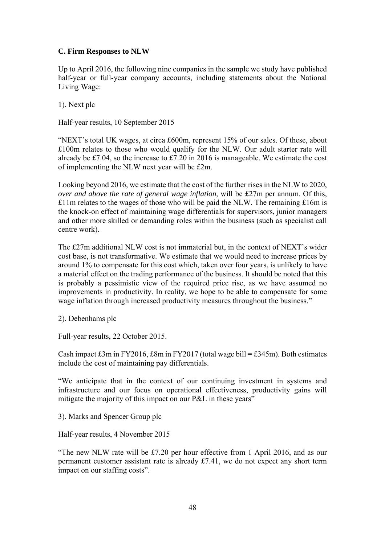#### **C. Firm Responses to NLW**

Up to April 2016, the following nine companies in the sample we study have published half-year or full-year company accounts, including statements about the National Living Wage:

1). Next plc

Half-year results, 10 September 2015

"NEXT's total UK wages, at circa £600m, represent 15% of our sales. Of these, about £100m relates to those who would qualify for the NLW. Our adult starter rate will already be £7.04, so the increase to £7.20 in 2016 is manageable. We estimate the cost of implementing the NLW next year will be £2m.

Looking beyond 2016, we estimate that the cost of the further rises in the NLW to 2020, *over and above the rate of general wage inflation*, will be £27m per annum. Of this,  $£11m$  relates to the wages of those who will be paid the NLW. The remaining £16m is the knock-on effect of maintaining wage differentials for supervisors, junior managers and other more skilled or demanding roles within the business (such as specialist call centre work).

The £27m additional NLW cost is not immaterial but, in the context of NEXT's wider cost base, is not transformative. We estimate that we would need to increase prices by around 1% to compensate for this cost which, taken over four years, is unlikely to have a material effect on the trading performance of the business. It should be noted that this is probably a pessimistic view of the required price rise, as we have assumed no improvements in productivity. In reality, we hope to be able to compensate for some wage inflation through increased productivity measures throughout the business."

2). Debenhams plc

Full-year results, 22 October 2015.

Cash impact £3m in FY2016,  $\pounds 8m$  in FY2017 (total wage bill = £345m). Both estimates include the cost of maintaining pay differentials.

"We anticipate that in the context of our continuing investment in systems and infrastructure and our focus on operational effectiveness, productivity gains will mitigate the majority of this impact on our P&L in these years"

3). Marks and Spencer Group plc

Half-year results, 4 November 2015

"The new NLW rate will be £7.20 per hour effective from 1 April 2016, and as our permanent customer assistant rate is already £7.41, we do not expect any short term impact on our staffing costs".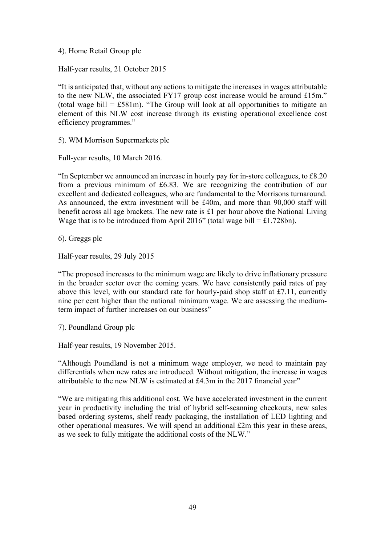4). Home Retail Group plc

Half-year results, 21 October 2015

"It is anticipated that, without any actions to mitigate the increases in wages attributable to the new NLW, the associated FY17 group cost increase would be around £15m." (total wage bill  $=$  £581m). "The Group will look at all opportunities to mitigate an element of this NLW cost increase through its existing operational excellence cost efficiency programmes."

5). WM Morrison Supermarkets plc

Full-year results, 10 March 2016.

"In September we announced an increase in hourly pay for in-store colleagues, to £8.20 from a previous minimum of £6.83. We are recognizing the contribution of our excellent and dedicated colleagues, who are fundamental to the Morrisons turnaround. As announced, the extra investment will be £40m, and more than 90,000 staff will benefit across all age brackets. The new rate is £1 per hour above the National Living Wage that is to be introduced from April 2016" (total wage bill  $= \pounds 1.728$ bn).

6). Greggs plc

Half-year results, 29 July 2015

"The proposed increases to the minimum wage are likely to drive inflationary pressure in the broader sector over the coming years. We have consistently paid rates of pay above this level, with our standard rate for hourly-paid shop staff at £7.11, currently nine per cent higher than the national minimum wage. We are assessing the mediumterm impact of further increases on our business"

7). Poundland Group plc

Half-year results, 19 November 2015.

"Although Poundland is not a minimum wage employer, we need to maintain pay differentials when new rates are introduced. Without mitigation, the increase in wages attributable to the new NLW is estimated at £4.3m in the 2017 financial year"

"We are mitigating this additional cost. We have accelerated investment in the current year in productivity including the trial of hybrid self-scanning checkouts, new sales based ordering systems, shelf ready packaging, the installation of LED lighting and other operational measures. We will spend an additional £2m this year in these areas, as we seek to fully mitigate the additional costs of the NLW."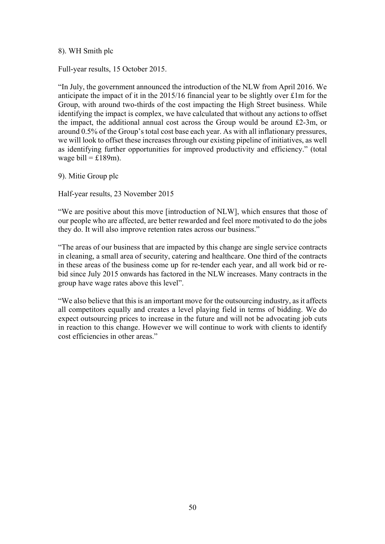#### 8). WH Smith plc

Full-year results, 15 October 2015.

"In July, the government announced the introduction of the NLW from April 2016. We anticipate the impact of it in the 2015/16 financial year to be slightly over £1m for the Group, with around two-thirds of the cost impacting the High Street business. While identifying the impact is complex, we have calculated that without any actions to offset the impact, the additional annual cost across the Group would be around £2-3m, or around 0.5% of the Group's total cost base each year. As with all inflationary pressures, we will look to offset these increases through our existing pipeline of initiatives, as well as identifying further opportunities for improved productivity and efficiency." (total wage bill =  $£189m$ ).

9). Mitie Group plc

Half-year results, 23 November 2015

"We are positive about this move [introduction of NLW], which ensures that those of our people who are affected, are better rewarded and feel more motivated to do the jobs they do. It will also improve retention rates across our business."

"The areas of our business that are impacted by this change are single service contracts in cleaning, a small area of security, catering and healthcare. One third of the contracts in these areas of the business come up for re-tender each year, and all work bid or rebid since July 2015 onwards has factored in the NLW increases. Many contracts in the group have wage rates above this level".

"We also believe that this is an important move for the outsourcing industry, as it affects all competitors equally and creates a level playing field in terms of bidding. We do expect outsourcing prices to increase in the future and will not be advocating job cuts in reaction to this change. However we will continue to work with clients to identify cost efficiencies in other areas."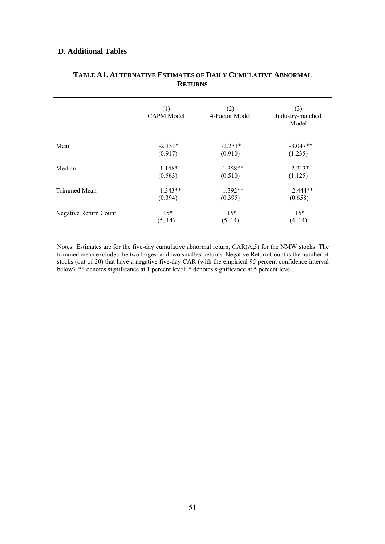#### **D. Additional Tables**

|                       | (1)<br><b>CAPM Model</b> | (2)<br>4-Factor Model | (3)<br>Industry-matched<br>Model |
|-----------------------|--------------------------|-----------------------|----------------------------------|
| Mean                  | $-2.131*$                | $-2.231*$             | $-3.047**$                       |
|                       | (0.917)                  | (0.910)               | (1.235)                          |
| Median                | $-1.148*$                | $-1.358**$            | $-2.213*$                        |
|                       | (0.563)                  | (0.510)               | (1.125)                          |
| Trimmed Mean          | $-1.343**$               | $-1.392**$            | $-2.444**$                       |
|                       | (0.394)                  | (0.395)               | (0.658)                          |
| Negative Return Count | $15*$                    | $15*$                 | $15*$                            |
|                       | (5, 14)                  | (5, 14)               | (4, 14)                          |

#### **TABLE A1. ALTERNATIVE ESTIMATES OF DAILY CUMULATIVE ABNORMAL RETURNS**

Notes: Estimates are for the five-day cumulative abnormal return, CAR(A,5) for the NMW stocks. The trimmed mean excludes the two largest and two smallest returns. Negative Return Count is the number of stocks (out of 20) that have a negative five-day CAR (with the empirical 95 percent confidence interval below). \*\* denotes significance at 1 percent level; \* denotes significance at 5 percent level.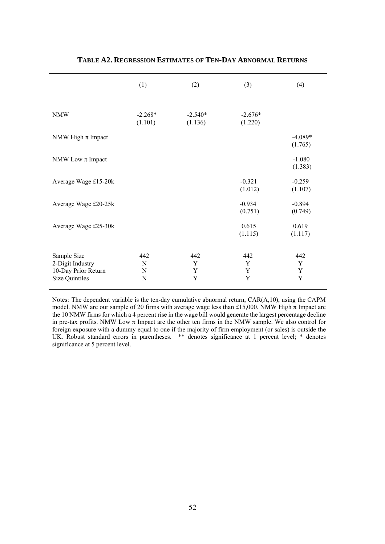|                                                                                 | (1)                  | (2)                  | (3)                  | (4)                  |
|---------------------------------------------------------------------------------|----------------------|----------------------|----------------------|----------------------|
| <b>NMW</b>                                                                      | $-2.268*$<br>(1.101) | $-2.540*$<br>(1.136) | $-2.676*$<br>(1.220) |                      |
| NMW High $\pi$ Impact                                                           |                      |                      |                      | $-4.089*$<br>(1.765) |
| NMW Low $\pi$ Impact                                                            |                      |                      |                      | $-1.080$<br>(1.383)  |
| Average Wage £15-20k                                                            |                      |                      | $-0.321$<br>(1.012)  | $-0.259$<br>(1.107)  |
| Average Wage £20-25k                                                            |                      |                      | $-0.934$<br>(0.751)  | $-0.894$<br>(0.749)  |
| Average Wage £25-30k                                                            |                      |                      | 0.615<br>(1.115)     | 0.619<br>(1.117)     |
| Sample Size<br>2-Digit Industry<br>10-Day Prior Return<br><b>Size Quintiles</b> | 442<br>N<br>N<br>N   | 442<br>Y<br>Y<br>Y   | 442<br>Y<br>Y<br>Y   | 442<br>Y<br>Y<br>Y   |

#### **TABLE A2. REGRESSION ESTIMATES OF TEN-DAY ABNORMAL RETURNS**

 significance at 5 percent level. Notes: The dependent variable is the ten-day cumulative abnormal return, CAR(A,10), using the CAPM model. NMW are our sample of 20 firms with average wage less than £15,000. NMW High  $\pi$  Impact are the 10 NMW firms for which a 4 percent rise in the wage bill would generate the largest percentage decline in pre-tax profits. NMW Low  $\pi$  Impact are the other ten firms in the NMW sample. We also control for foreign exposure with a dummy equal to one if the majority of firm employment (or sales) is outside the UK. Robust standard errors in parentheses. \*\* denotes significance at 1 percent level; \* denotes